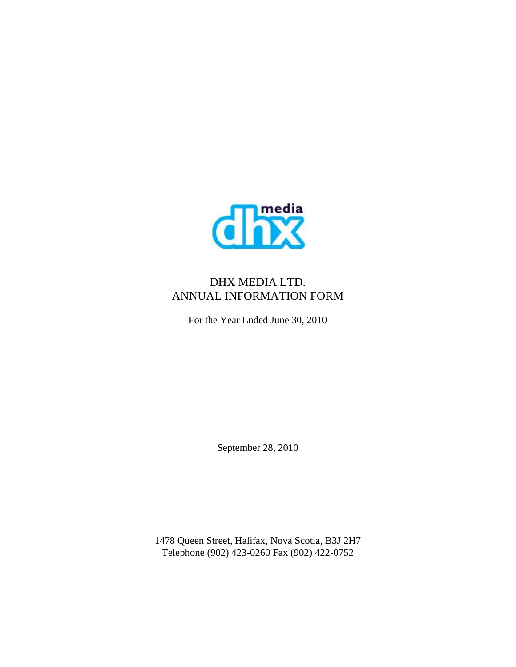

# DHX MEDIA LTD. ANNUAL INFORMATION FORM

For the Year Ended June 30, 2010

September 28, 2010

1478 Queen Street, Halifax, Nova Scotia, B3J 2H7 Telephone (902) 423-0260 Fax (902) 422-0752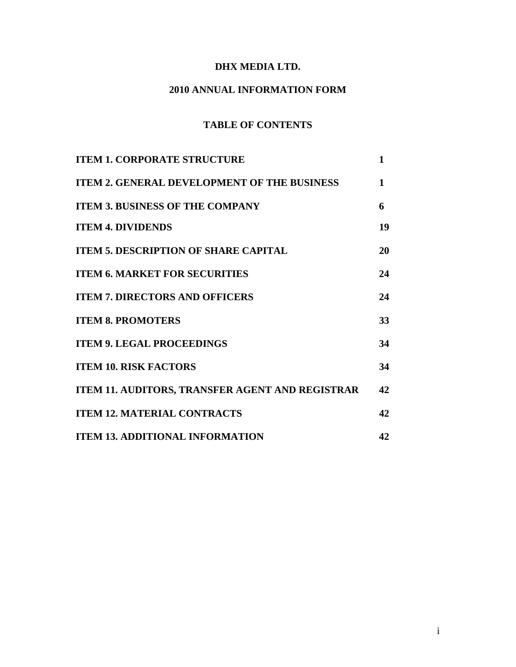## **DHX MEDIA LTD.**

## **2010 ANNUAL INFORMATION FORM**

# **TABLE OF CONTENTS**

| <b>ITEM 1. CORPORATE STRUCTURE</b>                 | $\mathbf{1}$ |
|----------------------------------------------------|--------------|
| <b>ITEM 2. GENERAL DEVELOPMENT OF THE BUSINESS</b> | 1            |
| <b>ITEM 3. BUSINESS OF THE COMPANY</b>             | 6            |
| <b>ITEM 4. DIVIDENDS</b>                           | 19           |
| <b>ITEM 5. DESCRIPTION OF SHARE CAPITAL</b>        | 20           |
| <b>ITEM 6. MARKET FOR SECURITIES</b>               | 24           |
| <b>ITEM 7. DIRECTORS AND OFFICERS</b>              | 24           |
| <b>ITEM 8. PROMOTERS</b>                           | 33           |
| <b>ITEM 9. LEGAL PROCEEDINGS</b>                   | 34           |
| <b>ITEM 10. RISK FACTORS</b>                       | 34           |
| ITEM 11. AUDITORS, TRANSFER AGENT AND REGISTRAR    | 42           |
| <b>ITEM 12. MATERIAL CONTRACTS</b>                 | 42           |
| <b>ITEM 13. ADDITIONAL INFORMATION</b>             | 42           |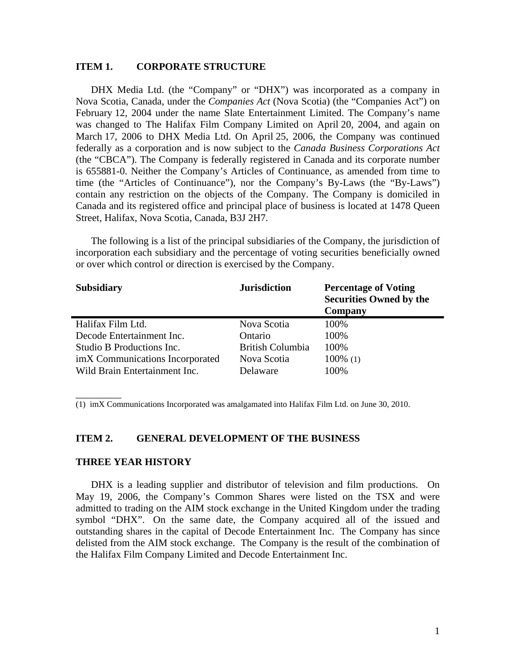## **ITEM 1. CORPORATE STRUCTURE**

DHX Media Ltd. (the "Company" or "DHX") was incorporated as a company in Nova Scotia, Canada, under the *Companies Act* (Nova Scotia) (the "Companies Act") on February 12, 2004 under the name Slate Entertainment Limited. The Company's name was changed to The Halifax Film Company Limited on April 20, 2004, and again on March 17, 2006 to DHX Media Ltd. On April 25, 2006, the Company was continued federally as a corporation and is now subject to the *Canada Business Corporations Act*  (the "CBCA"). The Company is federally registered in Canada and its corporate number is 655881-0. Neither the Company's Articles of Continuance, as amended from time to time (the "Articles of Continuance"), nor the Company's By-Laws (the "By-Laws") contain any restriction on the objects of the Company. The Company is domiciled in Canada and its registered office and principal place of business is located at 1478 Queen Street, Halifax, Nova Scotia, Canada, B3J 2H7.

The following is a list of the principal subsidiaries of the Company, the jurisdiction of incorporation each subsidiary and the percentage of voting securities beneficially owned or over which control or direction is exercised by the Company.

| <b>Subsidiary</b>               | <b>Jurisdiction</b>     | <b>Percentage of Voting</b><br><b>Securities Owned by the</b><br>Company |
|---------------------------------|-------------------------|--------------------------------------------------------------------------|
| Halifax Film Ltd.               | Nova Scotia             | 100%                                                                     |
| Decode Entertainment Inc.       | Ontario                 | 100%                                                                     |
| Studio B Productions Inc.       | <b>British Columbia</b> | 100%                                                                     |
| imX Communications Incorporated | Nova Scotia             | $100\%$ (1)                                                              |
| Wild Brain Entertainment Inc.   | Delaware                | 100%                                                                     |

(1) imX Communications Incorporated was amalgamated into Halifax Film Ltd. on June 30, 2010.

#### **ITEM 2. GENERAL DEVELOPMENT OF THE BUSINESS**

#### **THREE YEAR HISTORY**

\_\_\_\_\_\_\_\_\_

DHX is a leading supplier and distributor of television and film productions. On May 19, 2006, the Company's Common Shares were listed on the TSX and were admitted to trading on the AIM stock exchange in the United Kingdom under the trading symbol "DHX". On the same date, the Company acquired all of the issued and outstanding shares in the capital of Decode Entertainment Inc. The Company has since delisted from the AIM stock exchange. The Company is the result of the combination of the Halifax Film Company Limited and Decode Entertainment Inc.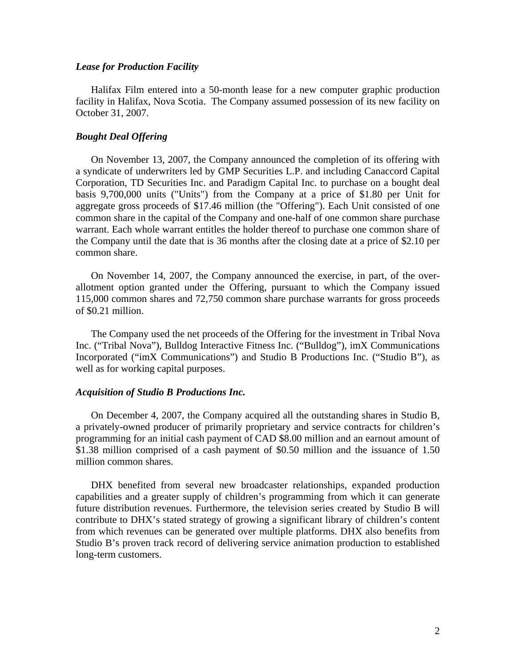## *Lease for Production Facility*

Halifax Film entered into a 50-month lease for a new computer graphic production facility in Halifax, Nova Scotia. The Company assumed possession of its new facility on October 31, 2007.

## *Bought Deal Offering*

On November 13, 2007, the Company announced the completion of its offering with a syndicate of underwriters led by GMP Securities L.P. and including Canaccord Capital Corporation, TD Securities Inc. and Paradigm Capital Inc. to purchase on a bought deal basis 9,700,000 units ("Units") from the Company at a price of \$1.80 per Unit for aggregate gross proceeds of \$17.46 million (the "Offering"). Each Unit consisted of one common share in the capital of the Company and one-half of one common share purchase warrant. Each whole warrant entitles the holder thereof to purchase one common share of the Company until the date that is 36 months after the closing date at a price of \$2.10 per common share.

On November 14, 2007, the Company announced the exercise, in part, of the overallotment option granted under the Offering, pursuant to which the Company issued 115,000 common shares and 72,750 common share purchase warrants for gross proceeds of \$0.21 million.

The Company used the net proceeds of the Offering for the investment in Tribal Nova Inc. ("Tribal Nova"), Bulldog Interactive Fitness Inc. ("Bulldog"), imX Communications Incorporated ("imX Communications") and Studio B Productions Inc. ("Studio B"), as well as for working capital purposes.

### *Acquisition of Studio B Productions Inc.*

On December 4, 2007, the Company acquired all the outstanding shares in Studio B, a privately-owned producer of primarily proprietary and service contracts for children's programming for an initial cash payment of CAD \$8.00 million and an earnout amount of \$1.38 million comprised of a cash payment of \$0.50 million and the issuance of 1.50 million common shares.

DHX benefited from several new broadcaster relationships, expanded production capabilities and a greater supply of children's programming from which it can generate future distribution revenues. Furthermore, the television series created by Studio B will contribute to DHX's stated strategy of growing a significant library of children's content from which revenues can be generated over multiple platforms. DHX also benefits from Studio B's proven track record of delivering service animation production to established long-term customers.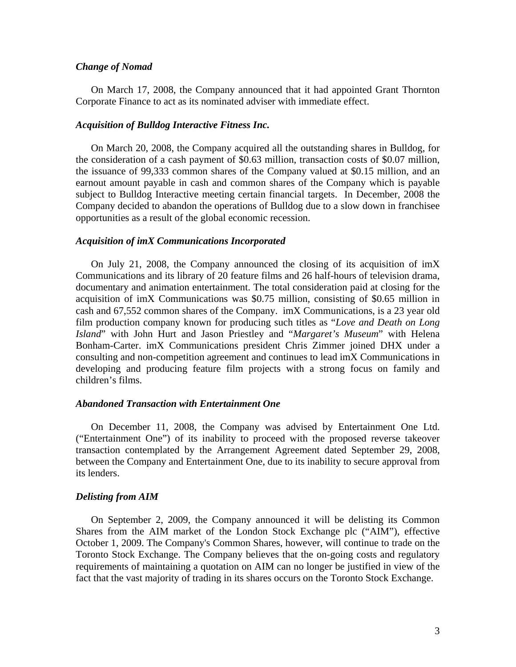#### *Change of Nomad*

On March 17, 2008, the Company announced that it had appointed Grant Thornton Corporate Finance to act as its nominated adviser with immediate effect.

### *Acquisition of Bulldog Interactive Fitness Inc.*

On March 20, 2008, the Company acquired all the outstanding shares in Bulldog, for the consideration of a cash payment of \$0.63 million, transaction costs of \$0.07 million, the issuance of 99,333 common shares of the Company valued at \$0.15 million, and an earnout amount payable in cash and common shares of the Company which is payable subject to Bulldog Interactive meeting certain financial targets. In December, 2008 the Company decided to abandon the operations of Bulldog due to a slow down in franchisee opportunities as a result of the global economic recession.

#### *Acquisition of imX Communications Incorporated*

On July 21, 2008, the Company announced the closing of its acquisition of imX Communications and its library of 20 feature films and 26 half-hours of television drama, documentary and animation entertainment. The total consideration paid at closing for the acquisition of imX Communications was \$0.75 million, consisting of \$0.65 million in cash and 67,552 common shares of the Company. imX Communications, is a 23 year old film production company known for producing such titles as "*Love and Death on Long Island*" with John Hurt and Jason Priestley and "*Margaret's Museum*" with Helena Bonham-Carter. imX Communications president Chris Zimmer joined DHX under a consulting and non-competition agreement and continues to lead imX Communications in developing and producing feature film projects with a strong focus on family and children's films.

## *Abandoned Transaction with Entertainment One*

On December 11, 2008, the Company was advised by Entertainment One Ltd. ("Entertainment One") of its inability to proceed with the proposed reverse takeover transaction contemplated by the Arrangement Agreement dated September 29, 2008, between the Company and Entertainment One, due to its inability to secure approval from its lenders.

### *Delisting from AIM*

On September 2, 2009, the Company announced it will be delisting its Common Shares from the AIM market of the London Stock Exchange plc ("AIM"), effective October 1, 2009. The Company's Common Shares, however, will continue to trade on the Toronto Stock Exchange. The Company believes that the on-going costs and regulatory requirements of maintaining a quotation on AIM can no longer be justified in view of the fact that the vast majority of trading in its shares occurs on the Toronto Stock Exchange.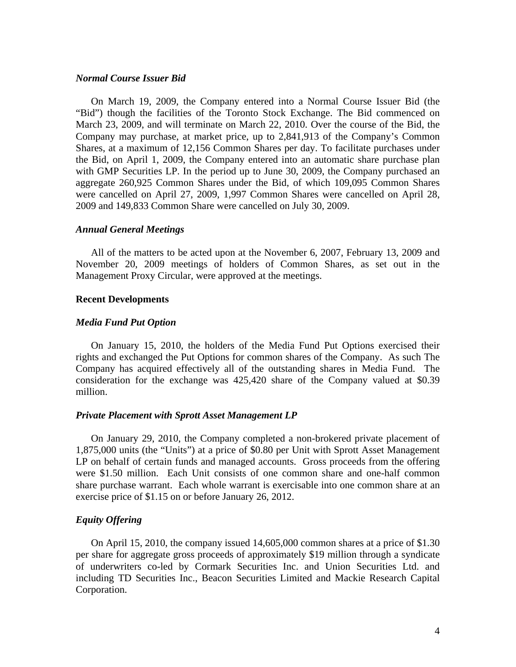## *Normal Course Issuer Bid*

On March 19, 2009, the Company entered into a Normal Course Issuer Bid (the "Bid") though the facilities of the Toronto Stock Exchange. The Bid commenced on March 23, 2009, and will terminate on March 22, 2010. Over the course of the Bid, the Company may purchase, at market price, up to 2,841,913 of the Company's Common Shares, at a maximum of 12,156 Common Shares per day. To facilitate purchases under the Bid, on April 1, 2009, the Company entered into an automatic share purchase plan with GMP Securities LP. In the period up to June 30, 2009, the Company purchased an aggregate 260,925 Common Shares under the Bid, of which 109,095 Common Shares were cancelled on April 27, 2009, 1,997 Common Shares were cancelled on April 28, 2009 and 149,833 Common Share were cancelled on July 30, 2009.

#### *Annual General Meetings*

All of the matters to be acted upon at the November 6, 2007, February 13, 2009 and November 20, 2009 meetings of holders of Common Shares, as set out in the Management Proxy Circular, were approved at the meetings.

#### **Recent Developments**

#### *Media Fund Put Option*

On January 15, 2010, the holders of the Media Fund Put Options exercised their rights and exchanged the Put Options for common shares of the Company. As such The Company has acquired effectively all of the outstanding shares in Media Fund. The consideration for the exchange was 425,420 share of the Company valued at \$0.39 million.

#### *Private Placement with Sprott Asset Management LP*

On January 29, 2010, the Company completed a non-brokered private placement of 1,875,000 units (the "Units") at a price of \$0.80 per Unit with Sprott Asset Management LP on behalf of certain funds and managed accounts. Gross proceeds from the offering were \$1.50 million. Each Unit consists of one common share and one-half common share purchase warrant. Each whole warrant is exercisable into one common share at an exercise price of \$1.15 on or before January 26, 2012.

## *Equity Offering*

On April 15, 2010, the company issued 14,605,000 common shares at a price of \$1.30 per share for aggregate gross proceeds of approximately \$19 million through a syndicate of underwriters co-led by Cormark Securities Inc. and Union Securities Ltd. and including TD Securities Inc., Beacon Securities Limited and Mackie Research Capital Corporation.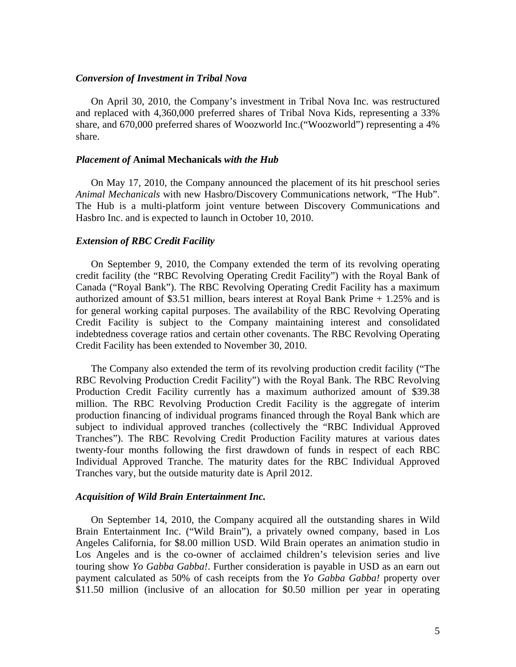## *Conversion of Investment in Tribal Nova*

On April 30, 2010, the Company's investment in Tribal Nova Inc. was restructured and replaced with 4,360,000 preferred shares of Tribal Nova Kids, representing a 33% share, and 670,000 preferred shares of Woozworld Inc.("Woozworld") representing a 4% share.

#### *Placement of* **Animal Mechanicals** *with the Hub*

On May 17, 2010, the Company announced the placement of its hit preschool series *Animal Mechanicals* with new Hasbro/Discovery Communications network, "The Hub". The Hub is a multi-platform joint venture between Discovery Communications and Hasbro Inc. and is expected to launch in October 10, 2010.

## *Extension of RBC Credit Facility*

On September 9, 2010, the Company extended the term of its revolving operating credit facility (the "RBC Revolving Operating Credit Facility") with the Royal Bank of Canada ("Royal Bank"). The RBC Revolving Operating Credit Facility has a maximum authorized amount of \$3.51 million, bears interest at Royal Bank Prime + 1.25% and is for general working capital purposes. The availability of the RBC Revolving Operating Credit Facility is subject to the Company maintaining interest and consolidated indebtedness coverage ratios and certain other covenants. The RBC Revolving Operating Credit Facility has been extended to November 30, 2010.

The Company also extended the term of its revolving production credit facility ("The RBC Revolving Production Credit Facility") with the Royal Bank. The RBC Revolving Production Credit Facility currently has a maximum authorized amount of \$39.38 million. The RBC Revolving Production Credit Facility is the aggregate of interim production financing of individual programs financed through the Royal Bank which are subject to individual approved tranches (collectively the "RBC Individual Approved Tranches"). The RBC Revolving Credit Production Facility matures at various dates twenty-four months following the first drawdown of funds in respect of each RBC Individual Approved Tranche. The maturity dates for the RBC Individual Approved Tranches vary, but the outside maturity date is April 2012.

### *Acquisition of Wild Brain Entertainment Inc.*

On September 14, 2010, the Company acquired all the outstanding shares in Wild Brain Entertainment Inc. ("Wild Brain"), a privately owned company, based in Los Angeles California, for \$8.00 million USD. Wild Brain operates an animation studio in Los Angeles and is the co-owner of acclaimed children's television series and live touring show *Yo Gabba Gabba!*. Further consideration is payable in USD as an earn out payment calculated as 50% of cash receipts from the *Yo Gabba Gabba!* property over \$11.50 million (inclusive of an allocation for \$0.50 million per year in operating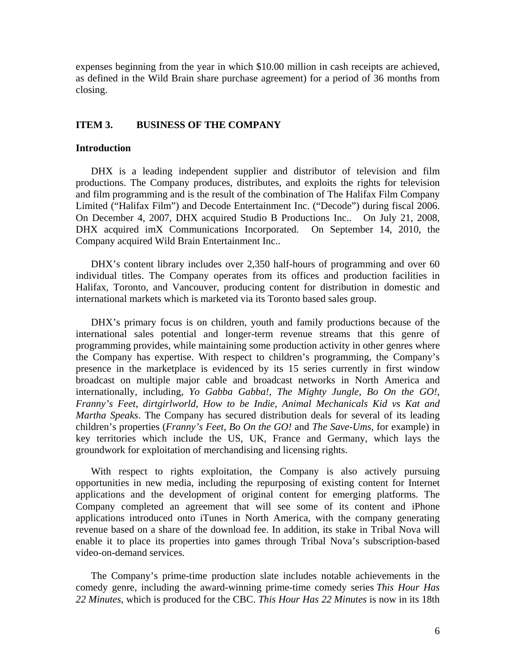expenses beginning from the year in which \$10.00 million in cash receipts are achieved, as defined in the Wild Brain share purchase agreement) for a period of 36 months from closing.

## **ITEM 3. BUSINESS OF THE COMPANY**

#### **Introduction**

DHX is a leading independent supplier and distributor of television and film productions. The Company produces, distributes, and exploits the rights for television and film programming and is the result of the combination of The Halifax Film Company Limited ("Halifax Film") and Decode Entertainment Inc. ("Decode") during fiscal 2006. On December 4, 2007, DHX acquired Studio B Productions Inc.. On July 21, 2008, DHX acquired imX Communications Incorporated. On September 14, 2010, the Company acquired Wild Brain Entertainment Inc..

DHX's content library includes over 2,350 half-hours of programming and over 60 individual titles. The Company operates from its offices and production facilities in Halifax, Toronto, and Vancouver, producing content for distribution in domestic and international markets which is marketed via its Toronto based sales group.

DHX's primary focus is on children, youth and family productions because of the international sales potential and longer-term revenue streams that this genre of programming provides, while maintaining some production activity in other genres where the Company has expertise. With respect to children's programming, the Company's presence in the marketplace is evidenced by its 15 series currently in first window broadcast on multiple major cable and broadcast networks in North America and internationally, including, *Yo Gabba Gabba!, The Mighty Jungle, Bo On the GO!*, *Franny's Feet*, *dirtgirlworld, How to be Indie*, *Animal Mechanicals Kid vs Kat and Martha Speaks*. The Company has secured distribution deals for several of its leading children's properties (*Franny's Feet, Bo On the GO!* and *The Save-Ums*, for example) in key territories which include the US, UK, France and Germany, which lays the groundwork for exploitation of merchandising and licensing rights.

With respect to rights exploitation, the Company is also actively pursuing opportunities in new media, including the repurposing of existing content for Internet applications and the development of original content for emerging platforms. The Company completed an agreement that will see some of its content and iPhone applications introduced onto iTunes in North America, with the company generating revenue based on a share of the download fee. In addition, its stake in Tribal Nova will enable it to place its properties into games through Tribal Nova's subscription-based video-on-demand services.

The Company's prime-time production slate includes notable achievements in the comedy genre, including the award-winning prime-time comedy series *This Hour Has 22 Minutes*, which is produced for the CBC. *This Hour Has 22 Minutes* is now in its 18th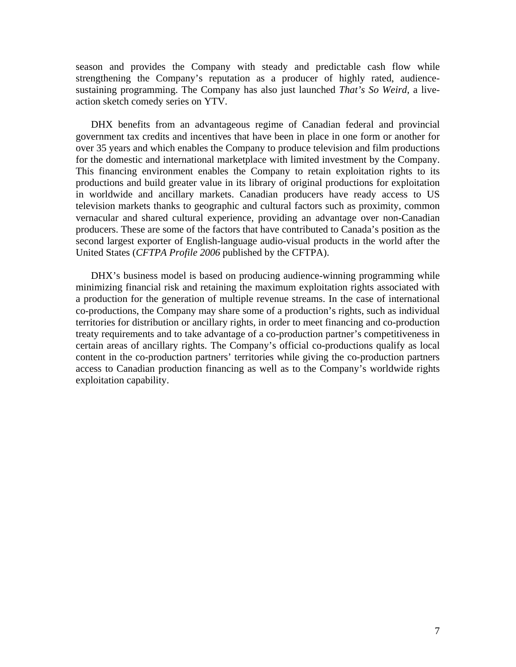season and provides the Company with steady and predictable cash flow while strengthening the Company's reputation as a producer of highly rated, audiencesustaining programming. The Company has also just launched *That's So Weird*, a liveaction sketch comedy series on YTV.

DHX benefits from an advantageous regime of Canadian federal and provincial government tax credits and incentives that have been in place in one form or another for over 35 years and which enables the Company to produce television and film productions for the domestic and international marketplace with limited investment by the Company. This financing environment enables the Company to retain exploitation rights to its productions and build greater value in its library of original productions for exploitation in worldwide and ancillary markets. Canadian producers have ready access to US television markets thanks to geographic and cultural factors such as proximity, common vernacular and shared cultural experience, providing an advantage over non-Canadian producers. These are some of the factors that have contributed to Canada's position as the second largest exporter of English-language audio-visual products in the world after the United States (*CFTPA Profile 2006* published by the CFTPA).

DHX's business model is based on producing audience-winning programming while minimizing financial risk and retaining the maximum exploitation rights associated with a production for the generation of multiple revenue streams. In the case of international co-productions, the Company may share some of a production's rights, such as individual territories for distribution or ancillary rights, in order to meet financing and co-production treaty requirements and to take advantage of a co-production partner's competitiveness in certain areas of ancillary rights. The Company's official co-productions qualify as local content in the co-production partners' territories while giving the co-production partners access to Canadian production financing as well as to the Company's worldwide rights exploitation capability.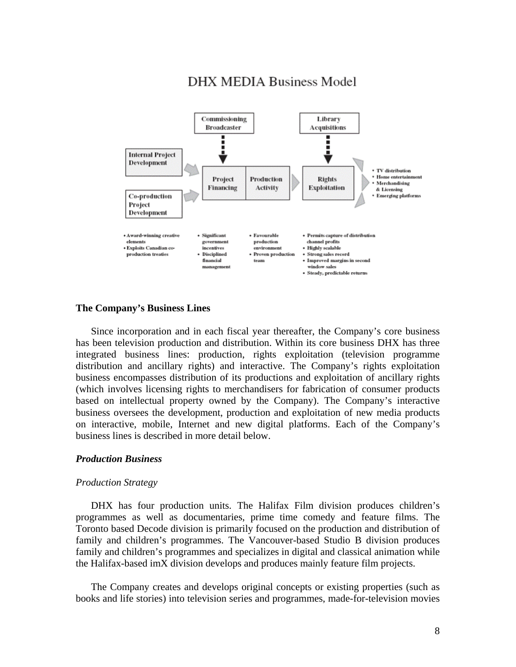

# **DHX MEDIA Business Model**

## **The Company's Business Lines**

Since incorporation and in each fiscal year thereafter, the Company's core business has been television production and distribution. Within its core business DHX has three integrated business lines: production, rights exploitation (television programme distribution and ancillary rights) and interactive. The Company's rights exploitation business encompasses distribution of its productions and exploitation of ancillary rights (which involves licensing rights to merchandisers for fabrication of consumer products based on intellectual property owned by the Company). The Company's interactive business oversees the development, production and exploitation of new media products on interactive, mobile, Internet and new digital platforms. Each of the Company's business lines is described in more detail below.

## *Production Business*

## *Production Strategy*

DHX has four production units. The Halifax Film division produces children's programmes as well as documentaries, prime time comedy and feature films. The Toronto based Decode division is primarily focused on the production and distribution of family and children's programmes. The Vancouver-based Studio B division produces family and children's programmes and specializes in digital and classical animation while the Halifax-based imX division develops and produces mainly feature film projects.

The Company creates and develops original concepts or existing properties (such as books and life stories) into television series and programmes, made-for-television movies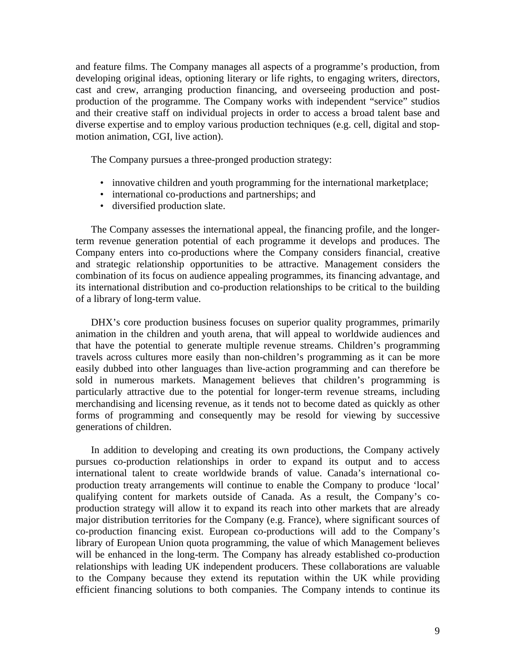and feature films. The Company manages all aspects of a programme's production, from developing original ideas, optioning literary or life rights, to engaging writers, directors, cast and crew, arranging production financing, and overseeing production and postproduction of the programme. The Company works with independent "service" studios and their creative staff on individual projects in order to access a broad talent base and diverse expertise and to employ various production techniques (e.g. cell, digital and stopmotion animation, CGI, live action).

The Company pursues a three-pronged production strategy:

- innovative children and youth programming for the international marketplace;
- international co-productions and partnerships; and
- diversified production slate.

The Company assesses the international appeal, the financing profile, and the longerterm revenue generation potential of each programme it develops and produces. The Company enters into co-productions where the Company considers financial, creative and strategic relationship opportunities to be attractive. Management considers the combination of its focus on audience appealing programmes, its financing advantage, and its international distribution and co-production relationships to be critical to the building of a library of long-term value.

DHX's core production business focuses on superior quality programmes, primarily animation in the children and youth arena, that will appeal to worldwide audiences and that have the potential to generate multiple revenue streams. Children's programming travels across cultures more easily than non-children's programming as it can be more easily dubbed into other languages than live-action programming and can therefore be sold in numerous markets. Management believes that children's programming is particularly attractive due to the potential for longer-term revenue streams, including merchandising and licensing revenue, as it tends not to become dated as quickly as other forms of programming and consequently may be resold for viewing by successive generations of children.

In addition to developing and creating its own productions, the Company actively pursues co-production relationships in order to expand its output and to access international talent to create worldwide brands of value. Canada's international coproduction treaty arrangements will continue to enable the Company to produce 'local' qualifying content for markets outside of Canada. As a result, the Company's coproduction strategy will allow it to expand its reach into other markets that are already major distribution territories for the Company (e.g. France), where significant sources of co-production financing exist. European co-productions will add to the Company's library of European Union quota programming, the value of which Management believes will be enhanced in the long-term. The Company has already established co-production relationships with leading UK independent producers. These collaborations are valuable to the Company because they extend its reputation within the UK while providing efficient financing solutions to both companies. The Company intends to continue its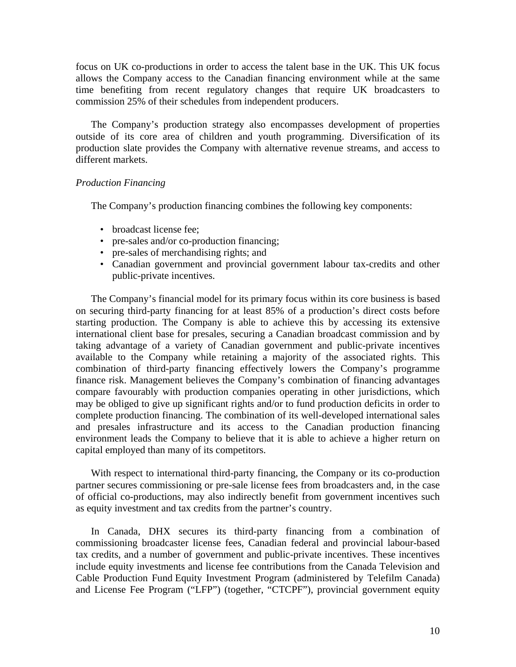focus on UK co-productions in order to access the talent base in the UK. This UK focus allows the Company access to the Canadian financing environment while at the same time benefiting from recent regulatory changes that require UK broadcasters to commission 25% of their schedules from independent producers.

The Company's production strategy also encompasses development of properties outside of its core area of children and youth programming. Diversification of its production slate provides the Company with alternative revenue streams, and access to different markets.

## *Production Financing*

The Company's production financing combines the following key components:

- broadcast license fee:
- pre-sales and/or co-production financing;
- pre-sales of merchandising rights; and
- Canadian government and provincial government labour tax-credits and other public-private incentives.

The Company's financial model for its primary focus within its core business is based on securing third-party financing for at least 85% of a production's direct costs before starting production. The Company is able to achieve this by accessing its extensive international client base for presales, securing a Canadian broadcast commission and by taking advantage of a variety of Canadian government and public-private incentives available to the Company while retaining a majority of the associated rights. This combination of third-party financing effectively lowers the Company's programme finance risk. Management believes the Company's combination of financing advantages compare favourably with production companies operating in other jurisdictions, which may be obliged to give up significant rights and/or to fund production deficits in order to complete production financing. The combination of its well-developed international sales and presales infrastructure and its access to the Canadian production financing environment leads the Company to believe that it is able to achieve a higher return on capital employed than many of its competitors.

With respect to international third-party financing, the Company or its co-production partner secures commissioning or pre-sale license fees from broadcasters and, in the case of official co-productions, may also indirectly benefit from government incentives such as equity investment and tax credits from the partner's country.

In Canada, DHX secures its third-party financing from a combination of commissioning broadcaster license fees, Canadian federal and provincial labour-based tax credits, and a number of government and public-private incentives. These incentives include equity investments and license fee contributions from the Canada Television and Cable Production Fund Equity Investment Program (administered by Telefilm Canada) and License Fee Program ("LFP") (together, "CTCPF"), provincial government equity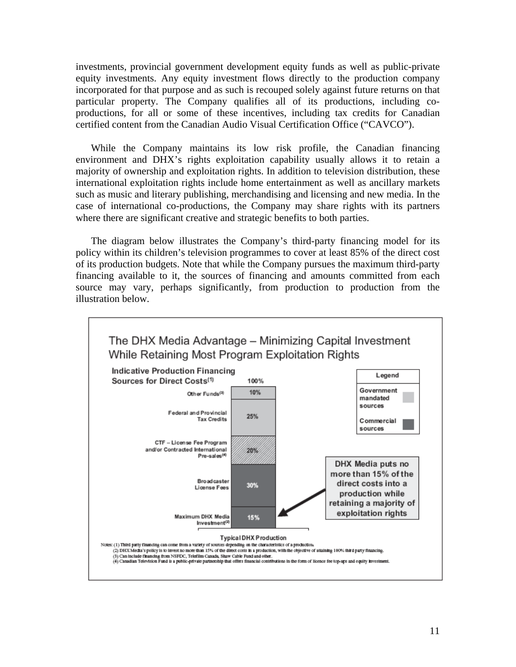investments, provincial government development equity funds as well as public-private equity investments. Any equity investment flows directly to the production company incorporated for that purpose and as such is recouped solely against future returns on that particular property. The Company qualifies all of its productions, including coproductions, for all or some of these incentives, including tax credits for Canadian certified content from the Canadian Audio Visual Certification Office ("CAVCO").

While the Company maintains its low risk profile, the Canadian financing environment and DHX's rights exploitation capability usually allows it to retain a majority of ownership and exploitation rights. In addition to television distribution, these international exploitation rights include home entertainment as well as ancillary markets such as music and literary publishing, merchandising and licensing and new media. In the case of international co-productions, the Company may share rights with its partners where there are significant creative and strategic benefits to both parties.

The diagram below illustrates the Company's third-party financing model for its policy within its children's television programmes to cover at least 85% of the direct cost of its production budgets. Note that while the Company pursues the maximum third-party financing available to it, the sources of financing and amounts committed from each source may vary, perhaps significantly, from production to production from the illustration below.

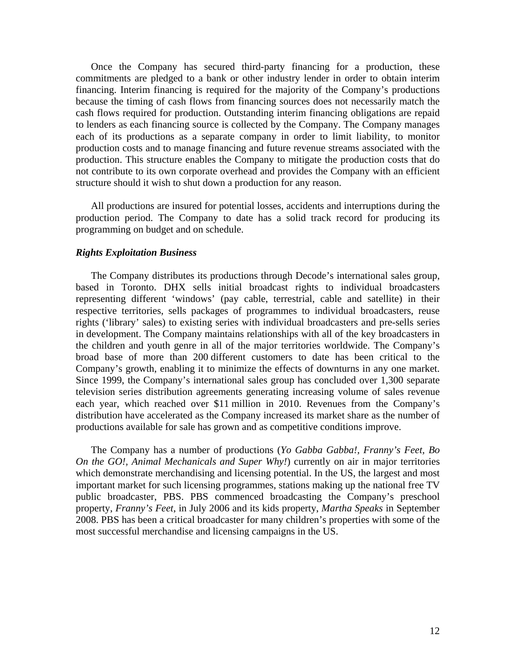Once the Company has secured third-party financing for a production, these commitments are pledged to a bank or other industry lender in order to obtain interim financing. Interim financing is required for the majority of the Company's productions because the timing of cash flows from financing sources does not necessarily match the cash flows required for production. Outstanding interim financing obligations are repaid to lenders as each financing source is collected by the Company. The Company manages each of its productions as a separate company in order to limit liability, to monitor production costs and to manage financing and future revenue streams associated with the production. This structure enables the Company to mitigate the production costs that do not contribute to its own corporate overhead and provides the Company with an efficient structure should it wish to shut down a production for any reason.

All productions are insured for potential losses, accidents and interruptions during the production period. The Company to date has a solid track record for producing its programming on budget and on schedule.

### *Rights Exploitation Business*

The Company distributes its productions through Decode's international sales group, based in Toronto. DHX sells initial broadcast rights to individual broadcasters representing different 'windows' (pay cable, terrestrial, cable and satellite) in their respective territories, sells packages of programmes to individual broadcasters, reuse rights ('library' sales) to existing series with individual broadcasters and pre-sells series in development. The Company maintains relationships with all of the key broadcasters in the children and youth genre in all of the major territories worldwide. The Company's broad base of more than 200 different customers to date has been critical to the Company's growth, enabling it to minimize the effects of downturns in any one market. Since 1999, the Company's international sales group has concluded over 1,300 separate television series distribution agreements generating increasing volume of sales revenue each year, which reached over \$11 million in 2010. Revenues from the Company's distribution have accelerated as the Company increased its market share as the number of productions available for sale has grown and as competitive conditions improve.

The Company has a number of productions (*Yo Gabba Gabba!, Franny's Feet, Bo On the GO!, Animal Mechanicals and Super Why!*) currently on air in major territories which demonstrate merchandising and licensing potential. In the US, the largest and most important market for such licensing programmes, stations making up the national free TV public broadcaster, PBS. PBS commenced broadcasting the Company's preschool property, *Franny's Feet*, in July 2006 and its kids property, *Martha Speaks* in September 2008. PBS has been a critical broadcaster for many children's properties with some of the most successful merchandise and licensing campaigns in the US.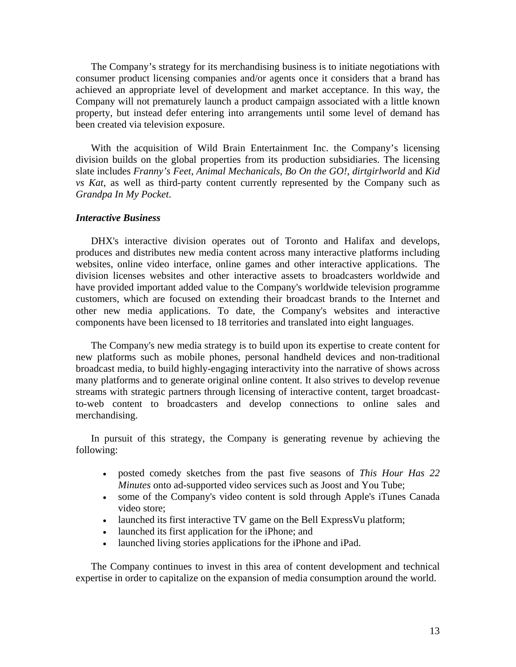The Company's strategy for its merchandising business is to initiate negotiations with consumer product licensing companies and/or agents once it considers that a brand has achieved an appropriate level of development and market acceptance. In this way, the Company will not prematurely launch a product campaign associated with a little known property, but instead defer entering into arrangements until some level of demand has been created via television exposure.

With the acquisition of Wild Brain Entertainment Inc. the Company's licensing division builds on the global properties from its production subsidiaries. The licensing slate includes *Franny's Feet*, *Animal Mechanicals*, *Bo On the GO!*, *dirtgirlworld* and *Kid vs Kat*, as well as third-party content currently represented by the Company such as *Grandpa In My Pocket*.

## *Interactive Business*

DHX's interactive division operates out of Toronto and Halifax and develops, produces and distributes new media content across many interactive platforms including websites, online video interface, online games and other interactive applications. The division licenses websites and other interactive assets to broadcasters worldwide and have provided important added value to the Company's worldwide television programme customers, which are focused on extending their broadcast brands to the Internet and other new media applications. To date, the Company's websites and interactive components have been licensed to 18 territories and translated into eight languages.

The Company's new media strategy is to build upon its expertise to create content for new platforms such as mobile phones, personal handheld devices and non-traditional broadcast media, to build highly-engaging interactivity into the narrative of shows across many platforms and to generate original online content. It also strives to develop revenue streams with strategic partners through licensing of interactive content, target broadcastto-web content to broadcasters and develop connections to online sales and merchandising.

In pursuit of this strategy, the Company is generating revenue by achieving the following:

- posted comedy sketches from the past five seasons of *This Hour Has 22 Minutes* onto ad-supported video services such as Joost and You Tube;
- some of the Company's video content is sold through Apple's iTunes Canada video store;
- launched its first interactive TV game on the Bell ExpressVu platform;
- launched its first application for the iPhone; and
- launched living stories applications for the iPhone and iPad.

The Company continues to invest in this area of content development and technical expertise in order to capitalize on the expansion of media consumption around the world.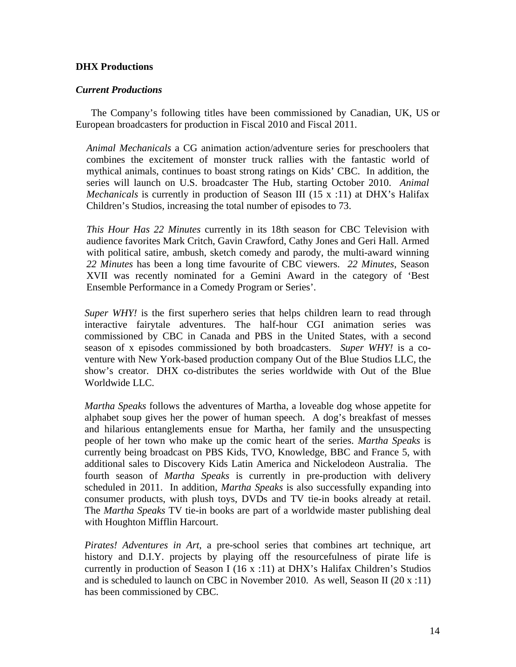## **DHX Productions**

## *Current Productions*

The Company's following titles have been commissioned by Canadian, UK, US or European broadcasters for production in Fiscal 2010 and Fiscal 2011.

*Animal Mechanicals* a CG animation action/adventure series for preschoolers that combines the excitement of monster truck rallies with the fantastic world of mythical animals, continues to boast strong ratings on Kids' CBC. In addition, the series will launch on U.S. broadcaster The Hub, starting October 2010. *Animal Mechanicals* is currently in production of Season III (15 x :11) at DHX's Halifax Children's Studios, increasing the total number of episodes to 73.

*This Hour Has 22 Minutes* currently in its 18th season for CBC Television with audience favorites Mark Critch, Gavin Crawford, Cathy Jones and Geri Hall. Armed with political satire, ambush, sketch comedy and parody, the multi-award winning *22 Minutes* has been a long time favourite of CBC viewers. *22 Minutes*, Season XVII was recently nominated for a Gemini Award in the category of 'Best Ensemble Performance in a Comedy Program or Series'.

*Super WHY!* is the first superhero series that helps children learn to read through interactive fairytale adventures. The half-hour CGI animation series was commissioned by CBC in Canada and PBS in the United States, with a second season of x episodes commissioned by both broadcasters. *Super WHY!* is a coventure with New York-based production company Out of the Blue Studios LLC, the show's creator. DHX co-distributes the series worldwide with Out of the Blue Worldwide LLC.

*Martha Speaks* follows the adventures of Martha, a loveable dog whose appetite for alphabet soup gives her the power of human speech. A dog's breakfast of messes and hilarious entanglements ensue for Martha, her family and the unsuspecting people of her town who make up the comic heart of the series. *Martha Speaks* is currently being broadcast on PBS Kids, TVO, Knowledge, BBC and France 5, with additional sales to Discovery Kids Latin America and Nickelodeon Australia. The fourth season of *Martha Speaks* is currently in pre-production with delivery scheduled in 2011. In addition, *Martha Speaks* is also successfully expanding into consumer products, with plush toys, DVDs and TV tie-in books already at retail. The *Martha Speaks* TV tie-in books are part of a worldwide master publishing deal with Houghton Mifflin Harcourt.

*Pirates! Adventures in Art*, a pre-school series that combines art technique, art history and D.I.Y. projects by playing off the resourcefulness of pirate life is currently in production of Season I (16 x :11) at DHX's Halifax Children's Studios and is scheduled to launch on CBC in November 2010. As well, Season II (20 x :11) has been commissioned by CBC.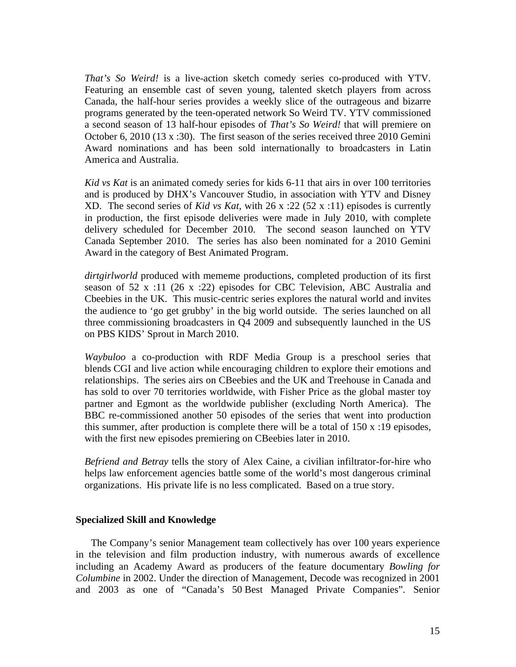*That's So Weird!* is a live-action sketch comedy series co-produced with YTV. Featuring an ensemble cast of seven young, talented sketch players from across Canada, the half-hour series provides a weekly slice of the outrageous and bizarre programs generated by the teen-operated network So Weird TV. YTV commissioned a second season of 13 half-hour episodes of *That's So Weird!* that will premiere on October 6, 2010 (13 x :30). The first season of the series received three 2010 Gemini Award nominations and has been sold internationally to broadcasters in Latin America and Australia.

*Kid vs Kat* is an animated comedy series for kids 6-11 that airs in over 100 territories and is produced by DHX's Vancouver Studio, in association with YTV and Disney XD. The second series of *Kid vs Kat,* with 26 x :22 (52 x :11) episodes is currently in production, the first episode deliveries were made in July 2010, with complete delivery scheduled for December 2010. The second season launched on YTV Canada September 2010. The series has also been nominated for a 2010 Gemini Award in the category of Best Animated Program.

*dirtgirlworld* produced with mememe productions, completed production of its first season of 52 x :11 (26 x :22) episodes for CBC Television, ABC Australia and Cbeebies in the UK. This music-centric series explores the natural world and invites the audience to 'go get grubby' in the big world outside. The series launched on all three commissioning broadcasters in Q4 2009 and subsequently launched in the US on PBS KIDS' Sprout in March 2010.

*Waybuloo* a co-production with RDF Media Group is a preschool series that blends CGI and live action while encouraging children to explore their emotions and relationships. The series airs on CBeebies and the UK and Treehouse in Canada and has sold to over 70 territories worldwide, with Fisher Price as the global master toy partner and Egmont as the worldwide publisher (excluding North America). The BBC re-commissioned another 50 episodes of the series that went into production this summer, after production is complete there will be a total of 150 x :19 episodes, with the first new episodes premiering on CBeebies later in 2010.

*Befriend and Betray* tells the story of Alex Caine, a civilian infiltrator-for-hire who helps law enforcement agencies battle some of the world's most dangerous criminal organizations. His private life is no less complicated. Based on a true story.

## **Specialized Skill and Knowledge**

The Company's senior Management team collectively has over 100 years experience in the television and film production industry, with numerous awards of excellence including an Academy Award as producers of the feature documentary *Bowling for Columbine* in 2002. Under the direction of Management, Decode was recognized in 2001 and 2003 as one of "Canada's 50 Best Managed Private Companies". Senior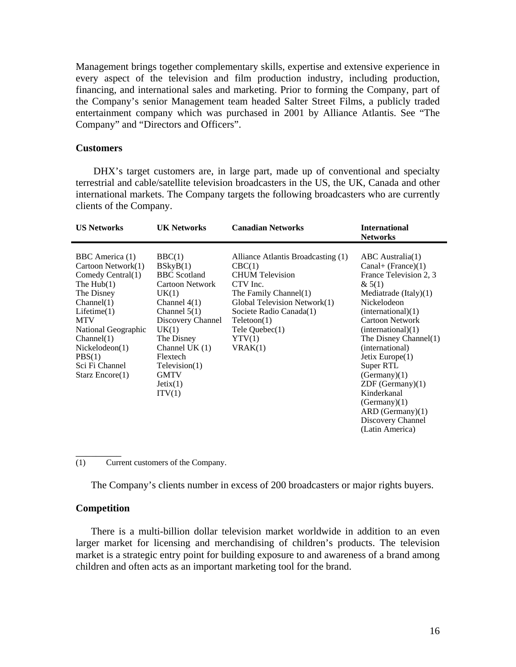Management brings together complementary skills, expertise and extensive experience in every aspect of the television and film production industry, including production, financing, and international sales and marketing. Prior to forming the Company, part of the Company's senior Management team headed Salter Street Films, a publicly traded entertainment company which was purchased in 2001 by Alliance Atlantis. See "The Company" and "Directors and Officers".

## **Customers**

 DHX's target customers are, in large part, made up of conventional and specialty terrestrial and cable/satellite television broadcasters in the US, the UK, Canada and other international markets. The Company targets the following broadcasters who are currently clients of the Company.

| <b>US Networks</b><br><b>UK Networks</b>                                                                                                                                                                                                                                                                                                                                                                                                                                                                                                                  | <b>Canadian Networks</b><br><b>International</b><br><b>Networks</b>                                                                                                                                                                                                                                                                                                                                                                                                                                                                                                                    |
|-----------------------------------------------------------------------------------------------------------------------------------------------------------------------------------------------------------------------------------------------------------------------------------------------------------------------------------------------------------------------------------------------------------------------------------------------------------------------------------------------------------------------------------------------------------|----------------------------------------------------------------------------------------------------------------------------------------------------------------------------------------------------------------------------------------------------------------------------------------------------------------------------------------------------------------------------------------------------------------------------------------------------------------------------------------------------------------------------------------------------------------------------------------|
| BBC America (1)<br>BBC(1)<br>Cartoon Network(1)<br>BSkyB(1)<br>CBC(1)<br>Comedy Central(1)<br><b>BBC</b> Scotland<br>The $Hub(1)$<br><b>Cartoon Network</b><br>CTV Inc.<br>The Disney<br>UK(1)<br>Channel(1)<br>Channel $4(1)$<br>Channel $5(1)$<br>Lifetime(1)<br><b>MTV</b><br>Discovery Channel<br>Teletoon(1)<br>National Geographic<br>UK(1)<br>Channel(1)<br>The Disney<br>YYV(1)<br>Channel UK $(1)$<br>Nickelodeon(1)<br>VRAK(1)<br>PBS(1)<br>Flextech<br>Sci Fi Channel<br>Televation(1)<br><b>GMTV</b><br>Starz Encore(1)<br>Jetix(1)<br>ITV(1) | ABC Australia(1)<br>Alliance Atlantis Broadcasting (1)<br>Canal+ (France) $(1)$<br><b>CHUM</b> Television<br>France Television 2, 3<br>& 5(1)<br>The Family Channel(1)<br>Mediatrade $(Italy)(1)$<br>Global Television Network(1)<br>Nickelodeon<br>Societe Radio Canada(1)<br>(internal)(1)<br><b>Cartoon Network</b><br>(internal)(1)<br>$Tele$ Quebec $(1)$<br>The Disney Channel(1)<br>(international)<br>Jetix Europe $(1)$<br>Super RTL<br>(Germany)(1)<br>$ZDF$ (Germany) $(1)$<br>Kinderkanal<br>(Germany)(1)<br>$ARD$ (Germany) $(1)$<br>Discovery Channel<br>(Latin America) |

(1) Current customers of the Company.

The Company's clients number in excess of 200 broadcasters or major rights buyers.

## **Competition**

\_\_\_\_\_\_\_\_\_

There is a multi-billion dollar television market worldwide in addition to an even larger market for licensing and merchandising of children's products. The television market is a strategic entry point for building exposure to and awareness of a brand among children and often acts as an important marketing tool for the brand.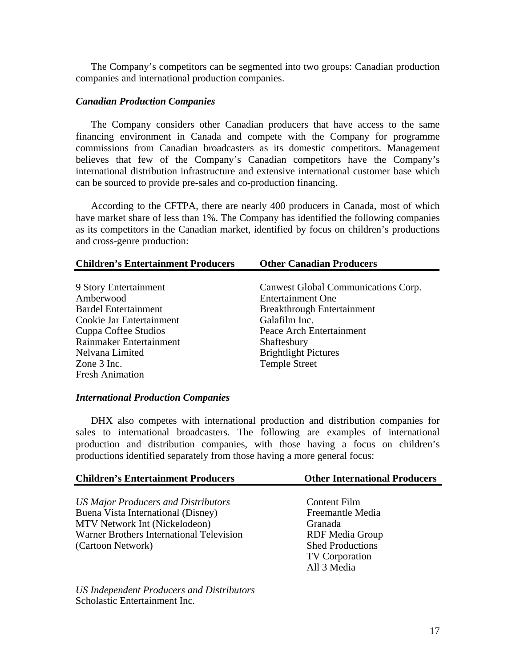The Company's competitors can be segmented into two groups: Canadian production companies and international production companies.

## *Canadian Production Companies*

The Company considers other Canadian producers that have access to the same financing environment in Canada and compete with the Company for programme commissions from Canadian broadcasters as its domestic competitors. Management believes that few of the Company's Canadian competitors have the Company's international distribution infrastructure and extensive international customer base which can be sourced to provide pre-sales and co-production financing.

According to the CFTPA, there are nearly 400 producers in Canada, most of which have market share of less than 1%. The Company has identified the following companies as its competitors in the Canadian market, identified by focus on children's productions and cross-genre production:

| <b>Other Canadian Producers</b>     |
|-------------------------------------|
|                                     |
| Canwest Global Communications Corp. |
| <b>Entertainment One</b>            |
| <b>Breakthrough Entertainment</b>   |
| Galafilm Inc.                       |
| Peace Arch Entertainment            |
| Shaftesbury                         |
| <b>Brightlight Pictures</b>         |
| <b>Temple Street</b>                |
|                                     |
|                                     |

## *International Production Companies*

DHX also competes with international production and distribution companies for sales to international broadcasters. The following are examples of international production and distribution companies, with those having a focus on children's productions identified separately from those having a more general focus:

| <b>Children's Entertainment Producers</b> | <b>Other International Producers</b> |
|-------------------------------------------|--------------------------------------|
|                                           |                                      |
| US Major Producers and Distributors       | Content Film                         |
| Buena Vista International (Disney)        | Freemantle Media                     |
| MTV Network Int (Nickelodeon)             | Granada                              |
| Warner Brothers International Television  | <b>RDF</b> Media Group               |
| (Cartoon Network)                         | <b>Shed Productions</b>              |
|                                           | <b>TV</b> Corporation                |
|                                           | All 3 Media                          |
|                                           |                                      |
| $\mathbf{r} \cdot \mathbf{r}$             |                                      |

*US Independent Producers and Distributors* Scholastic Entertainment Inc.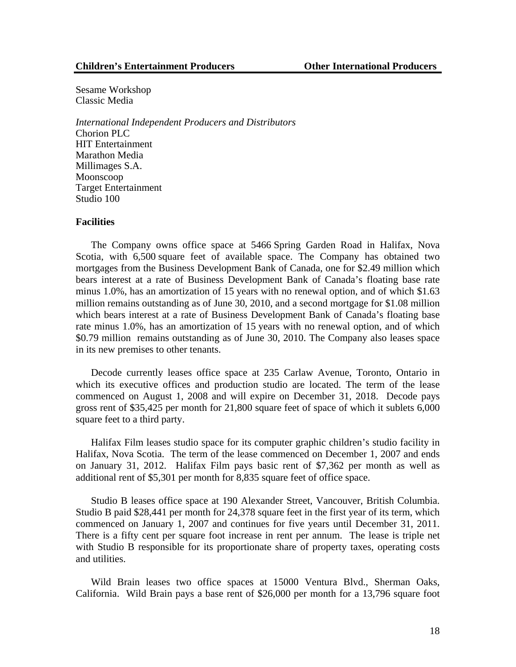Sesame Workshop Classic Media

*International Independent Producers and Distributors* Chorion PLC HIT Entertainment Marathon Media Millimages S.A. Moonscoop Target Entertainment Studio 100

#### **Facilities**

The Company owns office space at 5466 Spring Garden Road in Halifax, Nova Scotia, with 6,500 square feet of available space. The Company has obtained two mortgages from the Business Development Bank of Canada, one for \$2.49 million which bears interest at a rate of Business Development Bank of Canada's floating base rate minus 1.0%, has an amortization of 15 years with no renewal option, and of which \$1.63 million remains outstanding as of June 30, 2010, and a second mortgage for \$1.08 million which bears interest at a rate of Business Development Bank of Canada's floating base rate minus 1.0%, has an amortization of 15 years with no renewal option, and of which \$0.79 million remains outstanding as of June 30, 2010. The Company also leases space in its new premises to other tenants.

Decode currently leases office space at 235 Carlaw Avenue, Toronto, Ontario in which its executive offices and production studio are located. The term of the lease commenced on August 1, 2008 and will expire on December 31, 2018. Decode pays gross rent of \$35,425 per month for 21,800 square feet of space of which it sublets 6,000 square feet to a third party.

Halifax Film leases studio space for its computer graphic children's studio facility in Halifax, Nova Scotia. The term of the lease commenced on December 1, 2007 and ends on January 31, 2012. Halifax Film pays basic rent of \$7,362 per month as well as additional rent of \$5,301 per month for 8,835 square feet of office space.

Studio B leases office space at 190 Alexander Street, Vancouver, British Columbia. Studio B paid \$28,441 per month for 24,378 square feet in the first year of its term, which commenced on January 1, 2007 and continues for five years until December 31, 2011. There is a fifty cent per square foot increase in rent per annum. The lease is triple net with Studio B responsible for its proportionate share of property taxes, operating costs and utilities.

Wild Brain leases two office spaces at 15000 Ventura Blvd., Sherman Oaks, California. Wild Brain pays a base rent of \$26,000 per month for a 13,796 square foot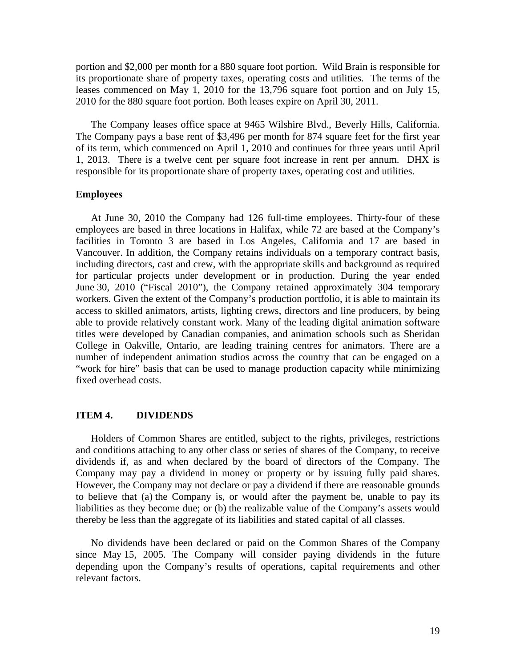portion and \$2,000 per month for a 880 square foot portion. Wild Brain is responsible for its proportionate share of property taxes, operating costs and utilities. The terms of the leases commenced on May 1, 2010 for the 13,796 square foot portion and on July 15, 2010 for the 880 square foot portion. Both leases expire on April 30, 2011.

The Company leases office space at 9465 Wilshire Blvd., Beverly Hills, California. The Company pays a base rent of \$3,496 per month for 874 square feet for the first year of its term, which commenced on April 1, 2010 and continues for three years until April 1, 2013. There is a twelve cent per square foot increase in rent per annum. DHX is responsible for its proportionate share of property taxes, operating cost and utilities.

## **Employees**

At June 30, 2010 the Company had 126 full-time employees. Thirty-four of these employees are based in three locations in Halifax, while 72 are based at the Company's facilities in Toronto 3 are based in Los Angeles, California and 17 are based in Vancouver. In addition, the Company retains individuals on a temporary contract basis, including directors, cast and crew, with the appropriate skills and background as required for particular projects under development or in production. During the year ended June 30, 2010 ("Fiscal 2010"), the Company retained approximately 304 temporary workers. Given the extent of the Company's production portfolio, it is able to maintain its access to skilled animators, artists, lighting crews, directors and line producers, by being able to provide relatively constant work. Many of the leading digital animation software titles were developed by Canadian companies, and animation schools such as Sheridan College in Oakville, Ontario, are leading training centres for animators. There are a number of independent animation studios across the country that can be engaged on a "work for hire" basis that can be used to manage production capacity while minimizing fixed overhead costs.

#### **ITEM 4. DIVIDENDS**

Holders of Common Shares are entitled, subject to the rights, privileges, restrictions and conditions attaching to any other class or series of shares of the Company, to receive dividends if, as and when declared by the board of directors of the Company. The Company may pay a dividend in money or property or by issuing fully paid shares. However, the Company may not declare or pay a dividend if there are reasonable grounds to believe that (a) the Company is, or would after the payment be, unable to pay its liabilities as they become due; or (b) the realizable value of the Company's assets would thereby be less than the aggregate of its liabilities and stated capital of all classes.

No dividends have been declared or paid on the Common Shares of the Company since May 15, 2005. The Company will consider paying dividends in the future depending upon the Company's results of operations, capital requirements and other relevant factors.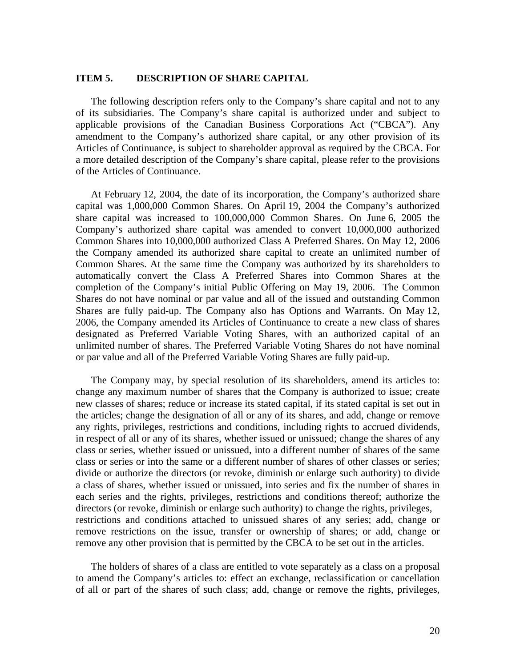## **ITEM 5. DESCRIPTION OF SHARE CAPITAL**

The following description refers only to the Company's share capital and not to any of its subsidiaries. The Company's share capital is authorized under and subject to applicable provisions of the Canadian Business Corporations Act ("CBCA"). Any amendment to the Company's authorized share capital, or any other provision of its Articles of Continuance, is subject to shareholder approval as required by the CBCA. For a more detailed description of the Company's share capital, please refer to the provisions of the Articles of Continuance.

At February 12, 2004, the date of its incorporation, the Company's authorized share capital was 1,000,000 Common Shares. On April 19, 2004 the Company's authorized share capital was increased to 100,000,000 Common Shares. On June 6, 2005 the Company's authorized share capital was amended to convert 10,000,000 authorized Common Shares into 10,000,000 authorized Class A Preferred Shares. On May 12, 2006 the Company amended its authorized share capital to create an unlimited number of Common Shares. At the same time the Company was authorized by its shareholders to automatically convert the Class A Preferred Shares into Common Shares at the completion of the Company's initial Public Offering on May 19, 2006. The Common Shares do not have nominal or par value and all of the issued and outstanding Common Shares are fully paid-up. The Company also has Options and Warrants. On May 12, 2006, the Company amended its Articles of Continuance to create a new class of shares designated as Preferred Variable Voting Shares, with an authorized capital of an unlimited number of shares. The Preferred Variable Voting Shares do not have nominal or par value and all of the Preferred Variable Voting Shares are fully paid-up.

The Company may, by special resolution of its shareholders, amend its articles to: change any maximum number of shares that the Company is authorized to issue; create new classes of shares; reduce or increase its stated capital, if its stated capital is set out in the articles; change the designation of all or any of its shares, and add, change or remove any rights, privileges, restrictions and conditions, including rights to accrued dividends, in respect of all or any of its shares, whether issued or unissued; change the shares of any class or series, whether issued or unissued, into a different number of shares of the same class or series or into the same or a different number of shares of other classes or series; divide or authorize the directors (or revoke, diminish or enlarge such authority) to divide a class of shares, whether issued or unissued, into series and fix the number of shares in each series and the rights, privileges, restrictions and conditions thereof; authorize the directors (or revoke, diminish or enlarge such authority) to change the rights, privileges, restrictions and conditions attached to unissued shares of any series; add, change or remove restrictions on the issue, transfer or ownership of shares; or add, change or remove any other provision that is permitted by the CBCA to be set out in the articles.

The holders of shares of a class are entitled to vote separately as a class on a proposal to amend the Company's articles to: effect an exchange, reclassification or cancellation of all or part of the shares of such class; add, change or remove the rights, privileges,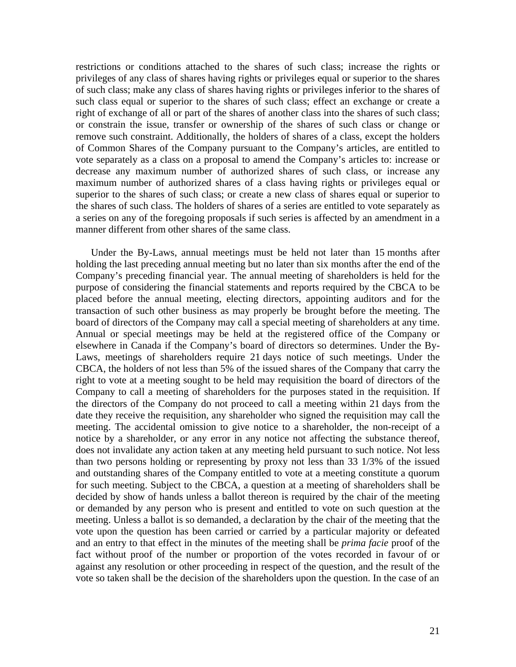restrictions or conditions attached to the shares of such class; increase the rights or privileges of any class of shares having rights or privileges equal or superior to the shares of such class; make any class of shares having rights or privileges inferior to the shares of such class equal or superior to the shares of such class; effect an exchange or create a right of exchange of all or part of the shares of another class into the shares of such class; or constrain the issue, transfer or ownership of the shares of such class or change or remove such constraint. Additionally, the holders of shares of a class, except the holders of Common Shares of the Company pursuant to the Company's articles, are entitled to vote separately as a class on a proposal to amend the Company's articles to: increase or decrease any maximum number of authorized shares of such class, or increase any maximum number of authorized shares of a class having rights or privileges equal or superior to the shares of such class; or create a new class of shares equal or superior to the shares of such class. The holders of shares of a series are entitled to vote separately as a series on any of the foregoing proposals if such series is affected by an amendment in a manner different from other shares of the same class.

Under the By-Laws, annual meetings must be held not later than 15 months after holding the last preceding annual meeting but no later than six months after the end of the Company's preceding financial year. The annual meeting of shareholders is held for the purpose of considering the financial statements and reports required by the CBCA to be placed before the annual meeting, electing directors, appointing auditors and for the transaction of such other business as may properly be brought before the meeting. The board of directors of the Company may call a special meeting of shareholders at any time. Annual or special meetings may be held at the registered office of the Company or elsewhere in Canada if the Company's board of directors so determines. Under the By-Laws, meetings of shareholders require 21 days notice of such meetings. Under the CBCA, the holders of not less than 5% of the issued shares of the Company that carry the right to vote at a meeting sought to be held may requisition the board of directors of the Company to call a meeting of shareholders for the purposes stated in the requisition. If the directors of the Company do not proceed to call a meeting within 21 days from the date they receive the requisition, any shareholder who signed the requisition may call the meeting. The accidental omission to give notice to a shareholder, the non-receipt of a notice by a shareholder, or any error in any notice not affecting the substance thereof, does not invalidate any action taken at any meeting held pursuant to such notice. Not less than two persons holding or representing by proxy not less than 33 1/3% of the issued and outstanding shares of the Company entitled to vote at a meeting constitute a quorum for such meeting. Subject to the CBCA, a question at a meeting of shareholders shall be decided by show of hands unless a ballot thereon is required by the chair of the meeting or demanded by any person who is present and entitled to vote on such question at the meeting. Unless a ballot is so demanded, a declaration by the chair of the meeting that the vote upon the question has been carried or carried by a particular majority or defeated and an entry to that effect in the minutes of the meeting shall be *prima facie* proof of the fact without proof of the number or proportion of the votes recorded in favour of or against any resolution or other proceeding in respect of the question, and the result of the vote so taken shall be the decision of the shareholders upon the question. In the case of an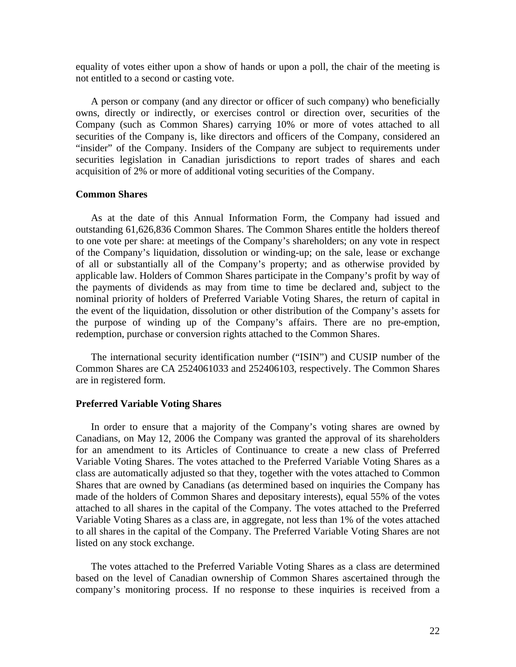equality of votes either upon a show of hands or upon a poll, the chair of the meeting is not entitled to a second or casting vote.

A person or company (and any director or officer of such company) who beneficially owns, directly or indirectly, or exercises control or direction over, securities of the Company (such as Common Shares) carrying 10% or more of votes attached to all securities of the Company is, like directors and officers of the Company, considered an "insider" of the Company. Insiders of the Company are subject to requirements under securities legislation in Canadian jurisdictions to report trades of shares and each acquisition of 2% or more of additional voting securities of the Company.

### **Common Shares**

As at the date of this Annual Information Form, the Company had issued and outstanding 61,626,836 Common Shares. The Common Shares entitle the holders thereof to one vote per share: at meetings of the Company's shareholders; on any vote in respect of the Company's liquidation, dissolution or winding-up; on the sale, lease or exchange of all or substantially all of the Company's property; and as otherwise provided by applicable law. Holders of Common Shares participate in the Company's profit by way of the payments of dividends as may from time to time be declared and, subject to the nominal priority of holders of Preferred Variable Voting Shares, the return of capital in the event of the liquidation, dissolution or other distribution of the Company's assets for the purpose of winding up of the Company's affairs. There are no pre-emption, redemption, purchase or conversion rights attached to the Common Shares.

The international security identification number ("ISIN") and CUSIP number of the Common Shares are CA 2524061033 and 252406103, respectively. The Common Shares are in registered form.

### **Preferred Variable Voting Shares**

In order to ensure that a majority of the Company's voting shares are owned by Canadians, on May 12, 2006 the Company was granted the approval of its shareholders for an amendment to its Articles of Continuance to create a new class of Preferred Variable Voting Shares. The votes attached to the Preferred Variable Voting Shares as a class are automatically adjusted so that they, together with the votes attached to Common Shares that are owned by Canadians (as determined based on inquiries the Company has made of the holders of Common Shares and depositary interests), equal 55% of the votes attached to all shares in the capital of the Company. The votes attached to the Preferred Variable Voting Shares as a class are, in aggregate, not less than 1% of the votes attached to all shares in the capital of the Company. The Preferred Variable Voting Shares are not listed on any stock exchange.

The votes attached to the Preferred Variable Voting Shares as a class are determined based on the level of Canadian ownership of Common Shares ascertained through the company's monitoring process. If no response to these inquiries is received from a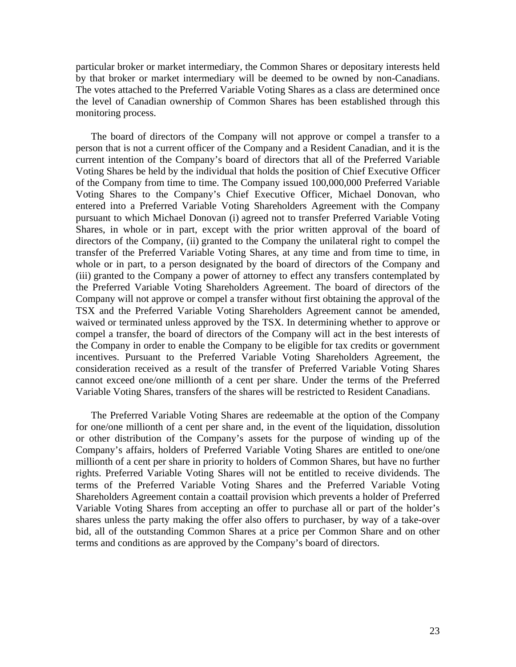particular broker or market intermediary, the Common Shares or depositary interests held by that broker or market intermediary will be deemed to be owned by non-Canadians. The votes attached to the Preferred Variable Voting Shares as a class are determined once the level of Canadian ownership of Common Shares has been established through this monitoring process.

The board of directors of the Company will not approve or compel a transfer to a person that is not a current officer of the Company and a Resident Canadian, and it is the current intention of the Company's board of directors that all of the Preferred Variable Voting Shares be held by the individual that holds the position of Chief Executive Officer of the Company from time to time. The Company issued 100,000,000 Preferred Variable Voting Shares to the Company's Chief Executive Officer, Michael Donovan, who entered into a Preferred Variable Voting Shareholders Agreement with the Company pursuant to which Michael Donovan (i) agreed not to transfer Preferred Variable Voting Shares, in whole or in part, except with the prior written approval of the board of directors of the Company, (ii) granted to the Company the unilateral right to compel the transfer of the Preferred Variable Voting Shares, at any time and from time to time, in whole or in part, to a person designated by the board of directors of the Company and (iii) granted to the Company a power of attorney to effect any transfers contemplated by the Preferred Variable Voting Shareholders Agreement. The board of directors of the Company will not approve or compel a transfer without first obtaining the approval of the TSX and the Preferred Variable Voting Shareholders Agreement cannot be amended, waived or terminated unless approved by the TSX. In determining whether to approve or compel a transfer, the board of directors of the Company will act in the best interests of the Company in order to enable the Company to be eligible for tax credits or government incentives. Pursuant to the Preferred Variable Voting Shareholders Agreement, the consideration received as a result of the transfer of Preferred Variable Voting Shares cannot exceed one/one millionth of a cent per share. Under the terms of the Preferred Variable Voting Shares, transfers of the shares will be restricted to Resident Canadians.

The Preferred Variable Voting Shares are redeemable at the option of the Company for one/one millionth of a cent per share and, in the event of the liquidation, dissolution or other distribution of the Company's assets for the purpose of winding up of the Company's affairs, holders of Preferred Variable Voting Shares are entitled to one/one millionth of a cent per share in priority to holders of Common Shares, but have no further rights. Preferred Variable Voting Shares will not be entitled to receive dividends. The terms of the Preferred Variable Voting Shares and the Preferred Variable Voting Shareholders Agreement contain a coattail provision which prevents a holder of Preferred Variable Voting Shares from accepting an offer to purchase all or part of the holder's shares unless the party making the offer also offers to purchaser, by way of a take-over bid, all of the outstanding Common Shares at a price per Common Share and on other terms and conditions as are approved by the Company's board of directors.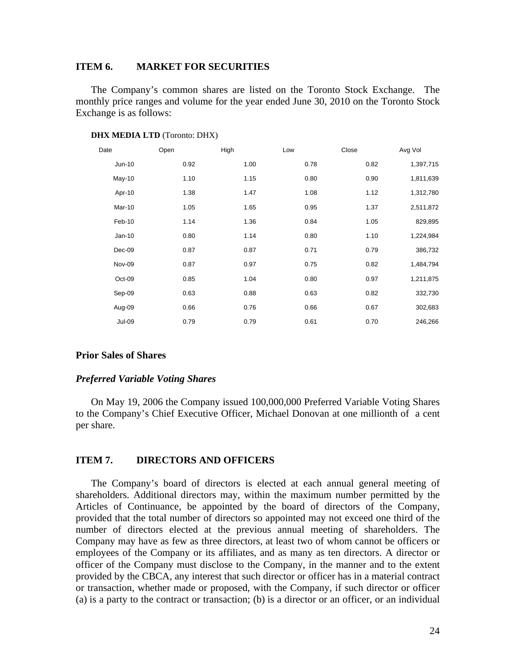## **ITEM 6. MARKET FOR SECURITIES**

The Company's common shares are listed on the Toronto Stock Exchange. The monthly price ranges and volume for the year ended June 30, 2010 on the Toronto Stock Exchange is as follows:

| Date          | Open | High | Low  | Close | Avg Vol   |
|---------------|------|------|------|-------|-----------|
| Jun-10        | 0.92 | 1.00 | 0.78 | 0.82  | 1,397,715 |
| $May-10$      | 1.10 | 1.15 | 0.80 | 0.90  | 1,811,639 |
| Apr-10        | 1.38 | 1.47 | 1.08 | 1.12  | 1,312,780 |
| Mar-10        | 1.05 | 1.65 | 0.95 | 1.37  | 2,511,872 |
| Feb-10        | 1.14 | 1.36 | 0.84 | 1.05  | 829,895   |
| $Jan-10$      | 0.80 | 1.14 | 0.80 | 1.10  | 1,224,984 |
| Dec-09        | 0.87 | 0.87 | 0.71 | 0.79  | 386,732   |
| Nov-09        | 0.87 | 0.97 | 0.75 | 0.82  | 1,484,794 |
| Oct-09        | 0.85 | 1.04 | 0.80 | 0.97  | 1,211,875 |
| Sep-09        | 0.63 | 0.88 | 0.63 | 0.82  | 332,730   |
| Aug-09        | 0.66 | 0.76 | 0.66 | 0.67  | 302,683   |
| <b>Jul-09</b> | 0.79 | 0.79 | 0.61 | 0.70  | 246,266   |

## **DHX MEDIA LTD** (Toronto: DHX)

#### **Prior Sales of Shares**

#### *Preferred Variable Voting Shares*

On May 19, 2006 the Company issued 100,000,000 Preferred Variable Voting Shares to the Company's Chief Executive Officer, Michael Donovan at one millionth of a cent per share.

#### **ITEM 7. DIRECTORS AND OFFICERS**

The Company's board of directors is elected at each annual general meeting of shareholders. Additional directors may, within the maximum number permitted by the Articles of Continuance, be appointed by the board of directors of the Company, provided that the total number of directors so appointed may not exceed one third of the number of directors elected at the previous annual meeting of shareholders. The Company may have as few as three directors, at least two of whom cannot be officers or employees of the Company or its affiliates, and as many as ten directors. A director or officer of the Company must disclose to the Company, in the manner and to the extent provided by the CBCA, any interest that such director or officer has in a material contract or transaction, whether made or proposed, with the Company, if such director or officer (a) is a party to the contract or transaction; (b) is a director or an officer, or an individual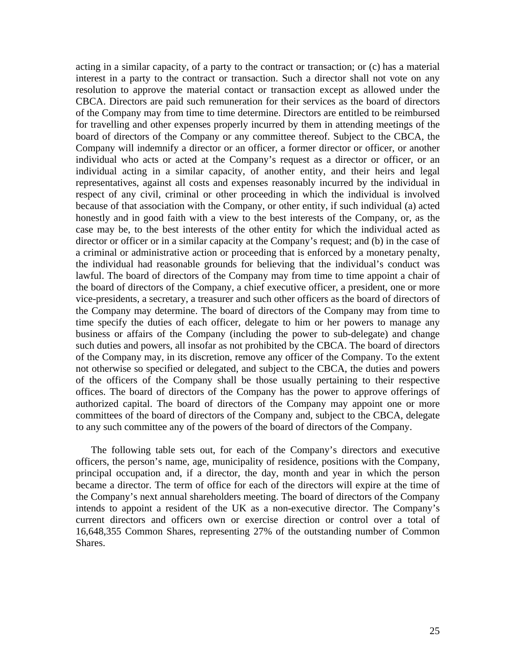acting in a similar capacity, of a party to the contract or transaction; or (c) has a material interest in a party to the contract or transaction. Such a director shall not vote on any resolution to approve the material contact or transaction except as allowed under the CBCA. Directors are paid such remuneration for their services as the board of directors of the Company may from time to time determine. Directors are entitled to be reimbursed for travelling and other expenses properly incurred by them in attending meetings of the board of directors of the Company or any committee thereof. Subject to the CBCA, the Company will indemnify a director or an officer, a former director or officer, or another individual who acts or acted at the Company's request as a director or officer, or an individual acting in a similar capacity, of another entity, and their heirs and legal representatives, against all costs and expenses reasonably incurred by the individual in respect of any civil, criminal or other proceeding in which the individual is involved because of that association with the Company, or other entity, if such individual (a) acted honestly and in good faith with a view to the best interests of the Company, or, as the case may be, to the best interests of the other entity for which the individual acted as director or officer or in a similar capacity at the Company's request; and (b) in the case of a criminal or administrative action or proceeding that is enforced by a monetary penalty, the individual had reasonable grounds for believing that the individual's conduct was lawful. The board of directors of the Company may from time to time appoint a chair of the board of directors of the Company, a chief executive officer, a president, one or more vice-presidents, a secretary, a treasurer and such other officers as the board of directors of the Company may determine. The board of directors of the Company may from time to time specify the duties of each officer, delegate to him or her powers to manage any business or affairs of the Company (including the power to sub-delegate) and change such duties and powers, all insofar as not prohibited by the CBCA. The board of directors of the Company may, in its discretion, remove any officer of the Company. To the extent not otherwise so specified or delegated, and subject to the CBCA, the duties and powers of the officers of the Company shall be those usually pertaining to their respective offices. The board of directors of the Company has the power to approve offerings of authorized capital. The board of directors of the Company may appoint one or more committees of the board of directors of the Company and, subject to the CBCA, delegate to any such committee any of the powers of the board of directors of the Company.

The following table sets out, for each of the Company's directors and executive officers, the person's name, age, municipality of residence, positions with the Company, principal occupation and, if a director, the day, month and year in which the person became a director. The term of office for each of the directors will expire at the time of the Company's next annual shareholders meeting. The board of directors of the Company intends to appoint a resident of the UK as a non-executive director. The Company's current directors and officers own or exercise direction or control over a total of 16,648,355 Common Shares, representing 27% of the outstanding number of Common Shares.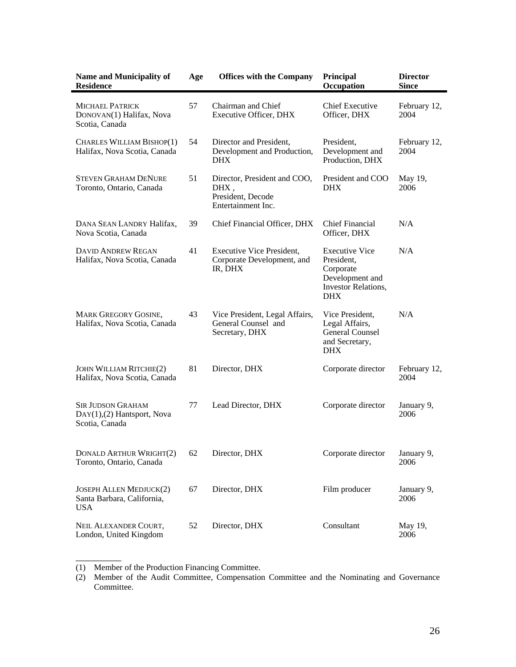| <b>Name and Municipality of</b><br><b>Residence</b>                      | Age | <b>Offices with the Company</b>                                                 | Principal<br>Occupation                                                                                         | <b>Director</b><br><b>Since</b> |
|--------------------------------------------------------------------------|-----|---------------------------------------------------------------------------------|-----------------------------------------------------------------------------------------------------------------|---------------------------------|
| <b>MICHAEL PATRICK</b><br>DONOVAN(1) Halifax, Nova<br>Scotia, Canada     | 57  | Chairman and Chief<br><b>Executive Officer, DHX</b>                             | <b>Chief Executive</b><br>Officer, DHX                                                                          | February 12,<br>2004            |
| CHARLES WILLIAM BISHOP(1)<br>Halifax, Nova Scotia, Canada                | 54  | Director and President,<br>Development and Production,<br>DHX.                  | President,<br>Development and<br>Production, DHX                                                                | February 12,<br>2004            |
| <b>STEVEN GRAHAM DENURE</b><br>Toronto, Ontario, Canada                  | 51  | Director, President and COO,<br>DHX,<br>President, Decode<br>Entertainment Inc. | President and COO<br><b>DHX</b>                                                                                 | May 19,<br>2006                 |
| DANA SEAN LANDRY Halifax,<br>Nova Scotia, Canada                         | 39  | Chief Financial Officer, DHX                                                    | <b>Chief Financial</b><br>Officer, DHX                                                                          | N/A                             |
| <b>DAVID ANDREW REGAN</b><br>Halifax, Nova Scotia, Canada                | 41  | <b>Executive Vice President,</b><br>Corporate Development, and<br>IR, DHX       | <b>Executive Vice</b><br>President,<br>Corporate<br>Development and<br><b>Investor Relations,</b><br><b>DHX</b> | N/A                             |
| <b>MARK GREGORY GOSINE,</b><br>Halifax, Nova Scotia, Canada              | 43  | Vice President, Legal Affairs,<br>General Counsel and<br>Secretary, DHX         | Vice President,<br>Legal Affairs,<br><b>General Counsel</b><br>and Secretary,<br><b>DHX</b>                     | N/A                             |
| <b>JOHN WILLIAM RITCHIE(2)</b><br>Halifax, Nova Scotia, Canada           | 81  | Director, DHX                                                                   | Corporate director                                                                                              | February 12,<br>2004            |
| <b>SIR JUDSON GRAHAM</b><br>DAY(1),(2) Hantsport, Nova<br>Scotia, Canada | 77  | Lead Director, DHX                                                              | Corporate director                                                                                              | January 9,<br>2006              |
| <b>DONALD ARTHUR WRIGHT(2)</b><br>Toronto, Ontario, Canada               | 62  | Director, DHX                                                                   | Corporate director                                                                                              | January 9,<br>2006              |
| JOSEPH ALLEN MEDJUCK(2)<br>Santa Barbara, California,<br><b>USA</b>      | 67  | Director, DHX                                                                   | Film producer                                                                                                   | January 9,<br>2006              |
| NEIL ALEXANDER COURT,<br>London, United Kingdom                          | 52  | Director, DHX                                                                   | Consultant                                                                                                      | May 19,<br>2006                 |

<sup>(1)</sup> Member of the Production Financing Committee.

\_\_\_\_\_\_\_\_\_

<sup>(2)</sup> Member of the Audit Committee, Compensation Committee and the Nominating and Governance Committee.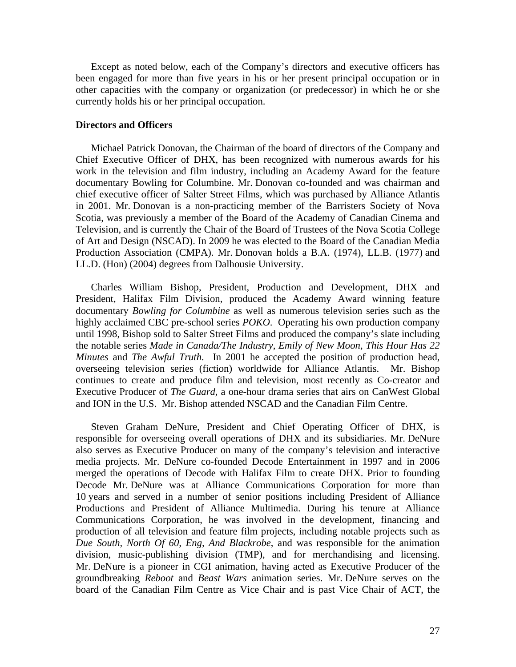Except as noted below, each of the Company's directors and executive officers has been engaged for more than five years in his or her present principal occupation or in other capacities with the company or organization (or predecessor) in which he or she currently holds his or her principal occupation.

## **Directors and Officers**

Michael Patrick Donovan, the Chairman of the board of directors of the Company and Chief Executive Officer of DHX, has been recognized with numerous awards for his work in the television and film industry, including an Academy Award for the feature documentary Bowling for Columbine. Mr. Donovan co-founded and was chairman and chief executive officer of Salter Street Films, which was purchased by Alliance Atlantis in 2001. Mr. Donovan is a non-practicing member of the Barristers Society of Nova Scotia, was previously a member of the Board of the Academy of Canadian Cinema and Television, and is currently the Chair of the Board of Trustees of the Nova Scotia College of Art and Design (NSCAD). In 2009 he was elected to the Board of the Canadian Media Production Association (CMPA). Mr. Donovan holds a B.A. (1974), LL.B. (1977) and LL.D. (Hon) (2004) degrees from Dalhousie University.

Charles William Bishop, President, Production and Development, DHX and President, Halifax Film Division, produced the Academy Award winning feature documentary *Bowling for Columbine* as well as numerous television series such as the highly acclaimed CBC pre-school series *POKO*. Operating his own production company until 1998, Bishop sold to Salter Street Films and produced the company's slate including the notable series *Made in Canada/The Industry*, *Emily of New Moon*, *This Hour Has 22 Minutes* and *The Awful Truth*. In 2001 he accepted the position of production head, overseeing television series (fiction) worldwide for Alliance Atlantis. Mr. Bishop continues to create and produce film and television, most recently as Co-creator and Executive Producer of *The Guard*, a one-hour drama series that airs on CanWest Global and ION in the U.S. Mr. Bishop attended NSCAD and the Canadian Film Centre.

Steven Graham DeNure, President and Chief Operating Officer of DHX, is responsible for overseeing overall operations of DHX and its subsidiaries. Mr. DeNure also serves as Executive Producer on many of the company's television and interactive media projects. Mr. DeNure co-founded Decode Entertainment in 1997 and in 2006 merged the operations of Decode with Halifax Film to create DHX. Prior to founding Decode Mr. DeNure was at Alliance Communications Corporation for more than 10 years and served in a number of senior positions including President of Alliance Productions and President of Alliance Multimedia. During his tenure at Alliance Communications Corporation, he was involved in the development, financing and production of all television and feature film projects, including notable projects such as *Due South, North Of 60, Eng, And Blackrobe*, and was responsible for the animation division, music-publishing division (TMP), and for merchandising and licensing. Mr. DeNure is a pioneer in CGI animation, having acted as Executive Producer of the groundbreaking *Reboot* and *Beast Wars* animation series. Mr. DeNure serves on the board of the Canadian Film Centre as Vice Chair and is past Vice Chair of ACT, the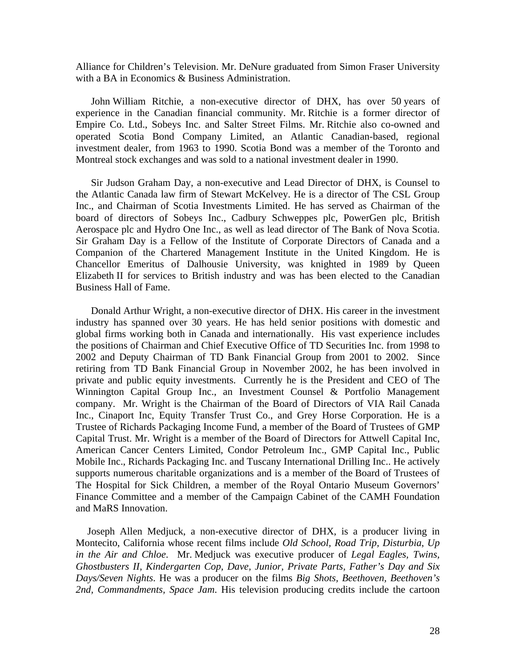Alliance for Children's Television. Mr. DeNure graduated from Simon Fraser University with a BA in Economics & Business Administration.

John William Ritchie, a non-executive director of DHX, has over 50 years of experience in the Canadian financial community. Mr. Ritchie is a former director of Empire Co. Ltd., Sobeys Inc. and Salter Street Films. Mr. Ritchie also co-owned and operated Scotia Bond Company Limited, an Atlantic Canadian-based, regional investment dealer, from 1963 to 1990. Scotia Bond was a member of the Toronto and Montreal stock exchanges and was sold to a national investment dealer in 1990.

Sir Judson Graham Day, a non-executive and Lead Director of DHX, is Counsel to the Atlantic Canada law firm of Stewart McKelvey. He is a director of The CSL Group Inc., and Chairman of Scotia Investments Limited. He has served as Chairman of the board of directors of Sobeys Inc., Cadbury Schweppes plc, PowerGen plc, British Aerospace plc and Hydro One Inc., as well as lead director of The Bank of Nova Scotia. Sir Graham Day is a Fellow of the Institute of Corporate Directors of Canada and a Companion of the Chartered Management Institute in the United Kingdom. He is Chancellor Emeritus of Dalhousie University, was knighted in 1989 by Queen Elizabeth II for services to British industry and was has been elected to the Canadian Business Hall of Fame.

Donald Arthur Wright, a non-executive director of DHX. His career in the investment industry has spanned over 30 years. He has held senior positions with domestic and global firms working both in Canada and internationally. His vast experience includes the positions of Chairman and Chief Executive Office of TD Securities Inc. from 1998 to 2002 and Deputy Chairman of TD Bank Financial Group from 2001 to 2002. Since retiring from TD Bank Financial Group in November 2002, he has been involved in private and public equity investments. Currently he is the President and CEO of The Winnington Capital Group Inc., an Investment Counsel & Portfolio Management company. Mr. Wright is the Chairman of the Board of Directors of VIA Rail Canada Inc., Cinaport Inc, Equity Transfer Trust Co., and Grey Horse Corporation. He is a Trustee of Richards Packaging Income Fund, a member of the Board of Trustees of GMP Capital Trust. Mr. Wright is a member of the Board of Directors for Attwell Capital Inc, American Cancer Centers Limited, Condor Petroleum Inc., GMP Capital Inc., Public Mobile Inc., Richards Packaging Inc. and Tuscany International Drilling Inc.. He actively supports numerous charitable organizations and is a member of the Board of Trustees of The Hospital for Sick Children, a member of the Royal Ontario Museum Governors' Finance Committee and a member of the Campaign Cabinet of the CAMH Foundation and MaRS Innovation.

Joseph Allen Medjuck, a non-executive director of DHX, is a producer living in Montecito, California whose recent films include *Old School, Road Trip, Disturbia*, *Up in the Air and Chloe*. Mr. Medjuck was executive producer of *Legal Eagles, Twins, Ghostbusters II, Kindergarten Cop, Dave, Junior, Private Parts, Father's Day and Six Days/Seven Nights*. He was a producer on the films *Big Shots, Beethoven, Beethoven's 2nd, Commandments, Space Jam*. His television producing credits include the cartoon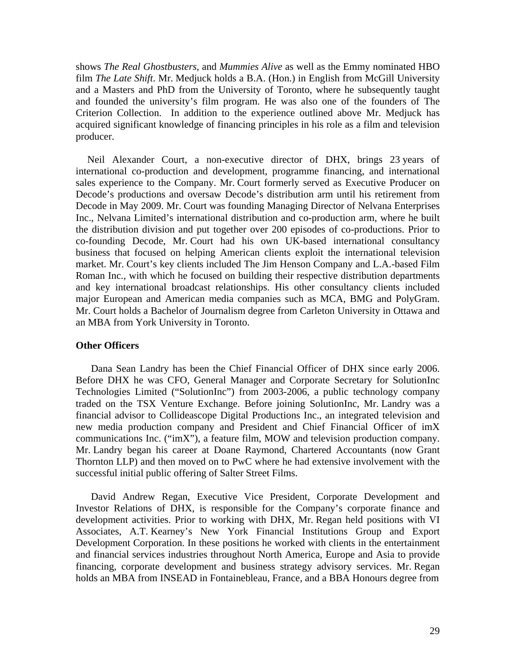shows *The Real Ghostbusters,* and *Mummies Alive* as well as the Emmy nominated HBO film *The Late Shift*. Mr. Medjuck holds a B.A. (Hon.) in English from McGill University and a Masters and PhD from the University of Toronto, where he subsequently taught and founded the university's film program. He was also one of the founders of The Criterion Collection. In addition to the experience outlined above Mr. Medjuck has acquired significant knowledge of financing principles in his role as a film and television producer.

Neil Alexander Court, a non-executive director of DHX, brings 23 years of international co-production and development, programme financing, and international sales experience to the Company. Mr. Court formerly served as Executive Producer on Decode's productions and oversaw Decode's distribution arm until his retirement from Decode in May 2009. Mr. Court was founding Managing Director of Nelvana Enterprises Inc., Nelvana Limited's international distribution and co-production arm, where he built the distribution division and put together over 200 episodes of co-productions. Prior to co-founding Decode, Mr. Court had his own UK-based international consultancy business that focused on helping American clients exploit the international television market. Mr. Court's key clients included The Jim Henson Company and L.A.-based Film Roman Inc., with which he focused on building their respective distribution departments and key international broadcast relationships. His other consultancy clients included major European and American media companies such as MCA, BMG and PolyGram. Mr. Court holds a Bachelor of Journalism degree from Carleton University in Ottawa and an MBA from York University in Toronto.

## **Other Officers**

Dana Sean Landry has been the Chief Financial Officer of DHX since early 2006. Before DHX he was CFO, General Manager and Corporate Secretary for SolutionInc Technologies Limited ("SolutionInc") from 2003-2006, a public technology company traded on the TSX Venture Exchange. Before joining SolutionInc, Mr. Landry was a financial advisor to Collideascope Digital Productions Inc., an integrated television and new media production company and President and Chief Financial Officer of imX communications Inc. ("imX"), a feature film, MOW and television production company. Mr. Landry began his career at Doane Raymond, Chartered Accountants (now Grant Thornton LLP) and then moved on to PwC where he had extensive involvement with the successful initial public offering of Salter Street Films.

David Andrew Regan, Executive Vice President, Corporate Development and Investor Relations of DHX, is responsible for the Company's corporate finance and development activities. Prior to working with DHX, Mr. Regan held positions with VI Associates, A.T. Kearney's New York Financial Institutions Group and Export Development Corporation. In these positions he worked with clients in the entertainment and financial services industries throughout North America, Europe and Asia to provide financing, corporate development and business strategy advisory services. Mr. Regan holds an MBA from INSEAD in Fontainebleau, France, and a BBA Honours degree from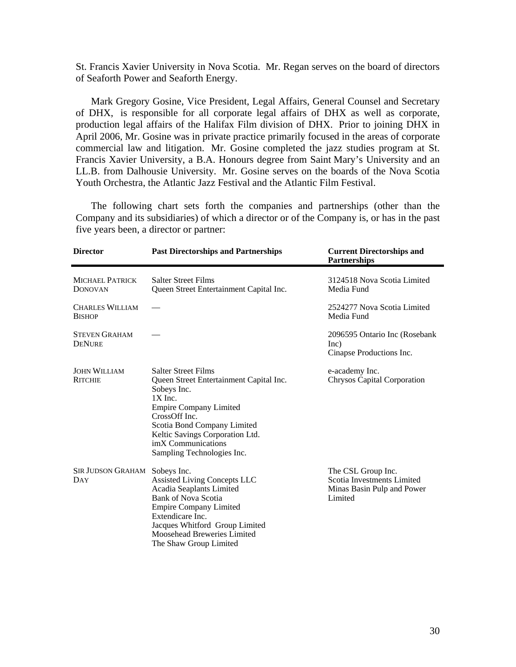St. Francis Xavier University in Nova Scotia. Mr. Regan serves on the board of directors of Seaforth Power and Seaforth Energy.

Mark Gregory Gosine, Vice President, Legal Affairs, General Counsel and Secretary of DHX, is responsible for all corporate legal affairs of DHX as well as corporate, production legal affairs of the Halifax Film division of DHX. Prior to joining DHX in April 2006, Mr. Gosine was in private practice primarily focused in the areas of corporate commercial law and litigation. Mr. Gosine completed the jazz studies program at St. Francis Xavier University, a B.A. Honours degree from Saint Mary's University and an LL.B. from Dalhousie University. Mr. Gosine serves on the boards of the Nova Scotia Youth Orchestra, the Atlantic Jazz Festival and the Atlantic Film Festival.

The following chart sets forth the companies and partnerships (other than the Company and its subsidiaries) of which a director or of the Company is, or has in the past five years been, a director or partner:

| <b>Director</b>                          | <b>Past Directorships and Partnerships</b>                                                                                                                                                                                                                                | <b>Current Directorships and</b><br><b>Partnerships</b>                                   |
|------------------------------------------|---------------------------------------------------------------------------------------------------------------------------------------------------------------------------------------------------------------------------------------------------------------------------|-------------------------------------------------------------------------------------------|
| <b>MICHAEL PATRICK</b><br><b>DONOVAN</b> | <b>Salter Street Films</b><br>Queen Street Entertainment Capital Inc.                                                                                                                                                                                                     | 3124518 Nova Scotia Limited<br>Media Fund                                                 |
| <b>CHARLES WILLIAM</b><br><b>BISHOP</b>  |                                                                                                                                                                                                                                                                           | 2524277 Nova Scotia Limited<br>Media Fund                                                 |
| <b>STEVEN GRAHAM</b><br><b>DENURE</b>    |                                                                                                                                                                                                                                                                           | 2096595 Ontario Inc (Rosebank)<br>Inc)<br>Cinapse Productions Inc.                        |
| <b>JOHN WILLIAM</b><br><b>RITCHIE</b>    | <b>Salter Street Films</b><br>Queen Street Entertainment Capital Inc.<br>Sobeys Inc.<br>$1X$ Inc.<br><b>Empire Company Limited</b><br>CrossOff Inc.<br>Scotia Bond Company Limited<br>Keltic Savings Corporation Ltd.<br>imX Communications<br>Sampling Technologies Inc. | e-academy Inc.<br><b>Chrysos Capital Corporation</b>                                      |
| SIR JUDSON GRAHAM<br>DAY                 | Sobeys Inc.<br><b>Assisted Living Concepts LLC</b><br>Acadia Seaplants Limited<br><b>Bank of Nova Scotia</b><br><b>Empire Company Limited</b><br>Extendicare Inc.<br>Jacques Whitford Group Limited<br>Moosehead Breweries Limited<br>The Shaw Group Limited              | The CSL Group Inc.<br>Scotia Investments Limited<br>Minas Basin Pulp and Power<br>Limited |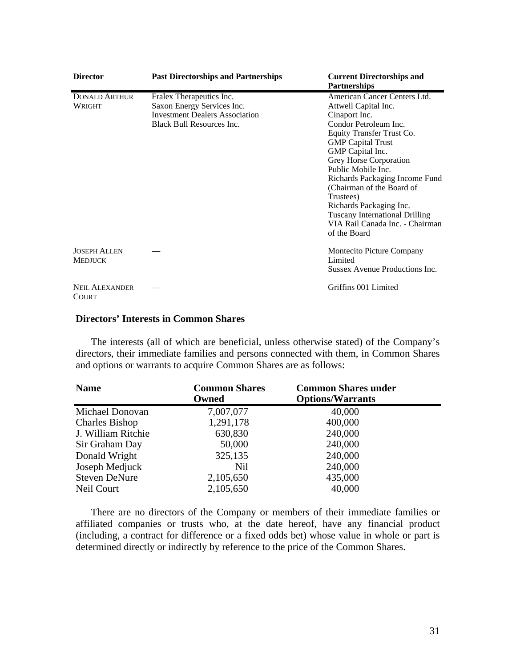| <b>Director</b>                       | <b>Past Directorships and Partnerships</b>                                                                                          | <b>Current Directorships and</b><br><b>Partnerships</b>                                                                                                                                                                                                                                                                                                                                                                        |
|---------------------------------------|-------------------------------------------------------------------------------------------------------------------------------------|--------------------------------------------------------------------------------------------------------------------------------------------------------------------------------------------------------------------------------------------------------------------------------------------------------------------------------------------------------------------------------------------------------------------------------|
| <b>DONALD ARTHUR</b><br>WRIGHT        | Fralex Therapeutics Inc.<br>Saxon Energy Services Inc.<br><b>Investment Dealers Association</b><br><b>Black Bull Resources Inc.</b> | American Cancer Centers Ltd.<br>Attwell Capital Inc.<br>Cinaport Inc.<br>Condor Petroleum Inc.<br>Equity Transfer Trust Co.<br><b>GMP</b> Capital Trust<br>GMP Capital Inc.<br>Grey Horse Corporation<br>Public Mobile Inc.<br>Richards Packaging Income Fund<br>(Chairman of the Board of<br>Trustees)<br>Richards Packaging Inc.<br><b>Tuscany International Drilling</b><br>VIA Rail Canada Inc. - Chairman<br>of the Board |
| <b>JOSEPH ALLEN</b><br><b>MEDJUCK</b> |                                                                                                                                     | Montecito Picture Company<br>Limited<br>Sussex Avenue Productions Inc.                                                                                                                                                                                                                                                                                                                                                         |
| <b>NEIL ALEXANDER</b><br>COURT        |                                                                                                                                     | Griffins 001 Limited                                                                                                                                                                                                                                                                                                                                                                                                           |

#### **Directors' Interests in Common Shares**

The interests (all of which are beneficial, unless otherwise stated) of the Company's directors, their immediate families and persons connected with them, in Common Shares and options or warrants to acquire Common Shares are as follows:

| <b>Name</b>           | <b>Common Shares</b><br>Owned | <b>Common Shares under</b><br><b>Options/Warrants</b> |  |
|-----------------------|-------------------------------|-------------------------------------------------------|--|
| Michael Donovan       | 7,007,077                     | 40,000                                                |  |
| <b>Charles Bishop</b> | 1,291,178                     | 400,000                                               |  |
| J. William Ritchie    | 630,830                       | 240,000                                               |  |
| Sir Graham Day        | 50,000                        | 240,000                                               |  |
| Donald Wright         | 325,135                       | 240,000                                               |  |
| Joseph Medjuck        | Nil                           | 240,000                                               |  |
| <b>Steven DeNure</b>  | 2,105,650                     | 435,000                                               |  |
| Neil Court            | 2,105,650                     | 40,000                                                |  |

There are no directors of the Company or members of their immediate families or affiliated companies or trusts who, at the date hereof, have any financial product (including, a contract for difference or a fixed odds bet) whose value in whole or part is determined directly or indirectly by reference to the price of the Common Shares.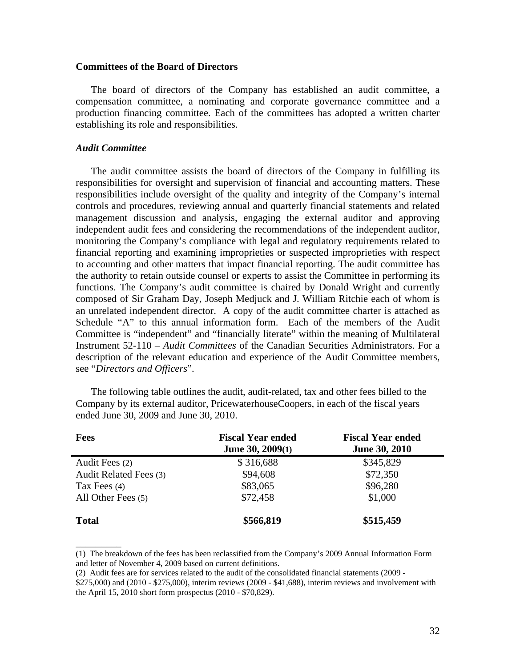## **Committees of the Board of Directors**

The board of directors of the Company has established an audit committee, a compensation committee, a nominating and corporate governance committee and a production financing committee. Each of the committees has adopted a written charter establishing its role and responsibilities.

## *Audit Committee*

\_\_\_\_\_\_\_\_\_

The audit committee assists the board of directors of the Company in fulfilling its responsibilities for oversight and supervision of financial and accounting matters. These responsibilities include oversight of the quality and integrity of the Company's internal controls and procedures, reviewing annual and quarterly financial statements and related management discussion and analysis, engaging the external auditor and approving independent audit fees and considering the recommendations of the independent auditor, monitoring the Company's compliance with legal and regulatory requirements related to financial reporting and examining improprieties or suspected improprieties with respect to accounting and other matters that impact financial reporting. The audit committee has the authority to retain outside counsel or experts to assist the Committee in performing its functions. The Company's audit committee is chaired by Donald Wright and currently composed of Sir Graham Day, Joseph Medjuck and J. William Ritchie each of whom is an unrelated independent director. A copy of the audit committee charter is attached as Schedule "A" to this annual information form. Each of the members of the Audit Committee is "independent" and "financially literate" within the meaning of Multilateral Instrument 52-110 – *Audit Committees* of the Canadian Securities Administrators. For a description of the relevant education and experience of the Audit Committee members, see "*Directors and Officers*".

The following table outlines the audit, audit-related, tax and other fees billed to the Company by its external auditor, PricewaterhouseCoopers, in each of the fiscal years ended June 30, 2009 and June 30, 2010.

| <b>Fees</b>            | <b>Fiscal Year ended</b><br>June $30, 2009(1)$ | <b>Fiscal Year ended</b><br><b>June 30, 2010</b> |
|------------------------|------------------------------------------------|--------------------------------------------------|
| Audit Fees (2)         | \$316,688                                      | \$345,829                                        |
| Audit Related Fees (3) | \$94,608                                       | \$72,350                                         |
| Tax Fees $(4)$         | \$83,065                                       | \$96,280                                         |
| All Other Fees (5)     | \$72,458                                       | \$1,000                                          |
| <b>Total</b>           | \$566,819                                      | \$515,459                                        |

<sup>(1)</sup> The breakdown of the fees has been reclassified from the Company's 2009 Annual Information Form and letter of November 4, 2009 based on current definitions.

<sup>(2)</sup> Audit fees are for services related to the audit of the consolidated financial statements (2009 -

<sup>\$275,000)</sup> and (2010 - \$275,000), interim reviews (2009 - \$41,688), interim reviews and involvement with the April 15, 2010 short form prospectus (2010 - \$70,829).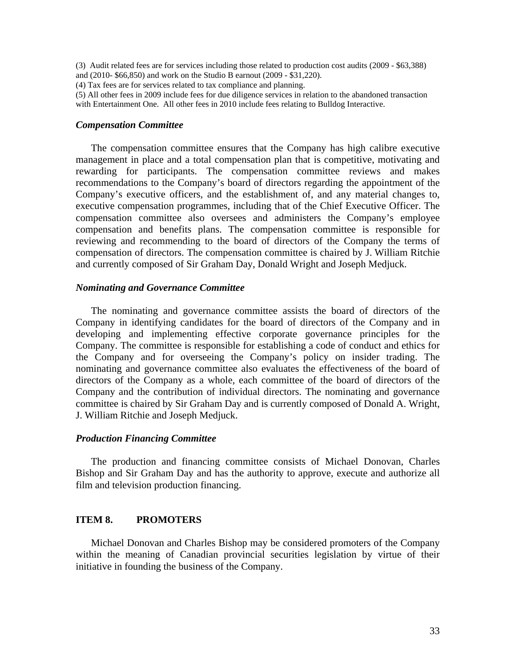(3) Audit related fees are for services including those related to production cost audits (2009 - \$63,388) and (2010- \$66,850) and work on the Studio B earnout (2009 - \$31,220).

(4) Tax fees are for services related to tax compliance and planning.

(5) All other fees in 2009 include fees for due diligence services in relation to the abandoned transaction with Entertainment One. All other fees in 2010 include fees relating to Bulldog Interactive.

#### *Compensation Committee*

The compensation committee ensures that the Company has high calibre executive management in place and a total compensation plan that is competitive, motivating and rewarding for participants. The compensation committee reviews and makes recommendations to the Company's board of directors regarding the appointment of the Company's executive officers, and the establishment of, and any material changes to, executive compensation programmes, including that of the Chief Executive Officer. The compensation committee also oversees and administers the Company's employee compensation and benefits plans. The compensation committee is responsible for reviewing and recommending to the board of directors of the Company the terms of compensation of directors. The compensation committee is chaired by J. William Ritchie and currently composed of Sir Graham Day, Donald Wright and Joseph Medjuck.

## *Nominating and Governance Committee*

The nominating and governance committee assists the board of directors of the Company in identifying candidates for the board of directors of the Company and in developing and implementing effective corporate governance principles for the Company. The committee is responsible for establishing a code of conduct and ethics for the Company and for overseeing the Company's policy on insider trading. The nominating and governance committee also evaluates the effectiveness of the board of directors of the Company as a whole, each committee of the board of directors of the Company and the contribution of individual directors. The nominating and governance committee is chaired by Sir Graham Day and is currently composed of Donald A. Wright, J. William Ritchie and Joseph Medjuck.

## *Production Financing Committee*

The production and financing committee consists of Michael Donovan, Charles Bishop and Sir Graham Day and has the authority to approve, execute and authorize all film and television production financing.

## **ITEM 8. PROMOTERS**

Michael Donovan and Charles Bishop may be considered promoters of the Company within the meaning of Canadian provincial securities legislation by virtue of their initiative in founding the business of the Company.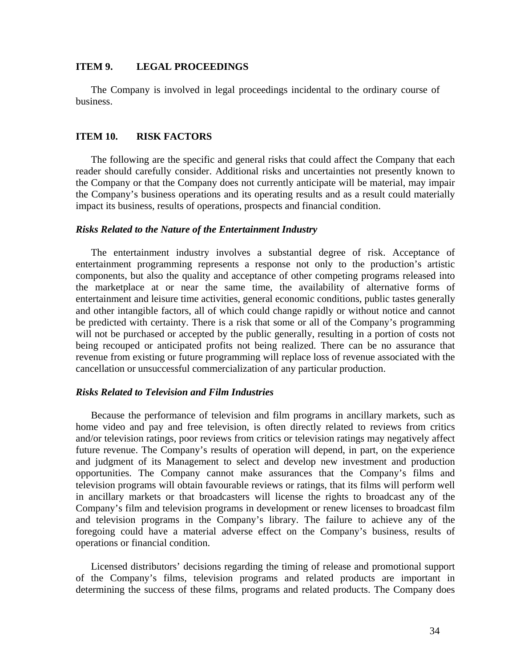#### **ITEM 9. LEGAL PROCEEDINGS**

The Company is involved in legal proceedings incidental to the ordinary course of business.

## **ITEM 10. RISK FACTORS**

The following are the specific and general risks that could affect the Company that each reader should carefully consider. Additional risks and uncertainties not presently known to the Company or that the Company does not currently anticipate will be material, may impair the Company's business operations and its operating results and as a result could materially impact its business, results of operations, prospects and financial condition.

#### *Risks Related to the Nature of the Entertainment Industry*

The entertainment industry involves a substantial degree of risk. Acceptance of entertainment programming represents a response not only to the production's artistic components, but also the quality and acceptance of other competing programs released into the marketplace at or near the same time, the availability of alternative forms of entertainment and leisure time activities, general economic conditions, public tastes generally and other intangible factors, all of which could change rapidly or without notice and cannot be predicted with certainty. There is a risk that some or all of the Company's programming will not be purchased or accepted by the public generally, resulting in a portion of costs not being recouped or anticipated profits not being realized. There can be no assurance that revenue from existing or future programming will replace loss of revenue associated with the cancellation or unsuccessful commercialization of any particular production.

### *Risks Related to Television and Film Industries*

Because the performance of television and film programs in ancillary markets, such as home video and pay and free television, is often directly related to reviews from critics and/or television ratings, poor reviews from critics or television ratings may negatively affect future revenue. The Company's results of operation will depend, in part, on the experience and judgment of its Management to select and develop new investment and production opportunities. The Company cannot make assurances that the Company's films and television programs will obtain favourable reviews or ratings, that its films will perform well in ancillary markets or that broadcasters will license the rights to broadcast any of the Company's film and television programs in development or renew licenses to broadcast film and television programs in the Company's library. The failure to achieve any of the foregoing could have a material adverse effect on the Company's business, results of operations or financial condition.

Licensed distributors' decisions regarding the timing of release and promotional support of the Company's films, television programs and related products are important in determining the success of these films, programs and related products. The Company does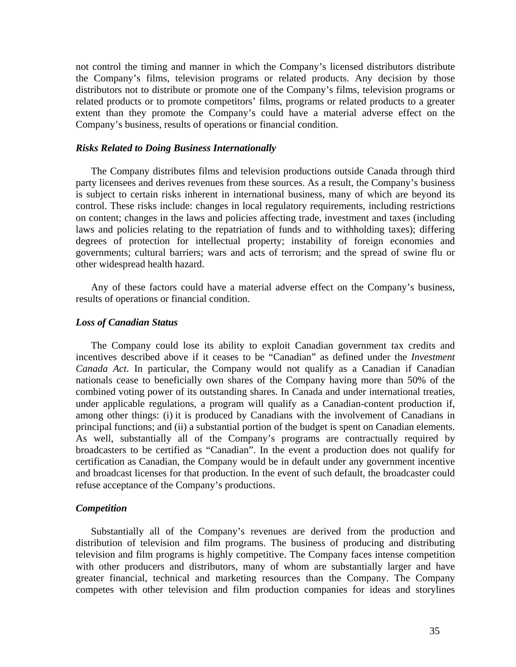not control the timing and manner in which the Company's licensed distributors distribute the Company's films, television programs or related products. Any decision by those distributors not to distribute or promote one of the Company's films, television programs or related products or to promote competitors' films, programs or related products to a greater extent than they promote the Company's could have a material adverse effect on the Company's business, results of operations or financial condition.

## *Risks Related to Doing Business Internationally*

The Company distributes films and television productions outside Canada through third party licensees and derives revenues from these sources. As a result, the Company's business is subject to certain risks inherent in international business, many of which are beyond its control. These risks include: changes in local regulatory requirements, including restrictions on content; changes in the laws and policies affecting trade, investment and taxes (including laws and policies relating to the repatriation of funds and to withholding taxes); differing degrees of protection for intellectual property; instability of foreign economies and governments; cultural barriers; wars and acts of terrorism; and the spread of swine flu or other widespread health hazard.

Any of these factors could have a material adverse effect on the Company's business, results of operations or financial condition.

#### *Loss of Canadian Status*

The Company could lose its ability to exploit Canadian government tax credits and incentives described above if it ceases to be "Canadian" as defined under the *Investment Canada Act*. In particular, the Company would not qualify as a Canadian if Canadian nationals cease to beneficially own shares of the Company having more than 50% of the combined voting power of its outstanding shares. In Canada and under international treaties, under applicable regulations, a program will qualify as a Canadian-content production if, among other things: (i) it is produced by Canadians with the involvement of Canadians in principal functions; and (ii) a substantial portion of the budget is spent on Canadian elements. As well, substantially all of the Company's programs are contractually required by broadcasters to be certified as "Canadian". In the event a production does not qualify for certification as Canadian, the Company would be in default under any government incentive and broadcast licenses for that production. In the event of such default, the broadcaster could refuse acceptance of the Company's productions.

## *Competition*

Substantially all of the Company's revenues are derived from the production and distribution of television and film programs. The business of producing and distributing television and film programs is highly competitive. The Company faces intense competition with other producers and distributors, many of whom are substantially larger and have greater financial, technical and marketing resources than the Company. The Company competes with other television and film production companies for ideas and storylines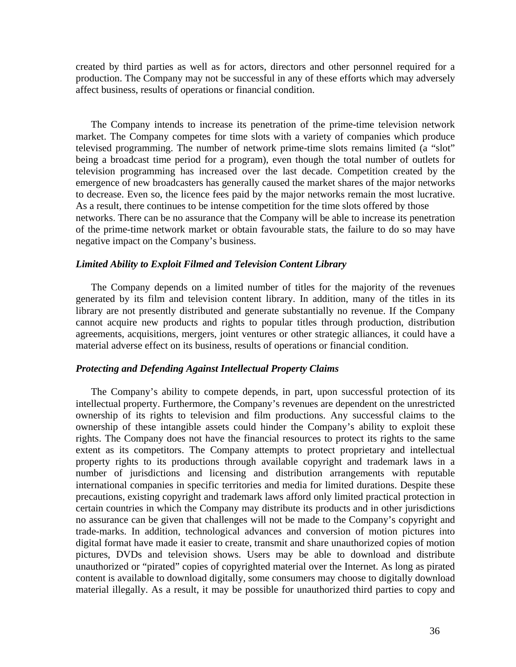created by third parties as well as for actors, directors and other personnel required for a production. The Company may not be successful in any of these efforts which may adversely affect business, results of operations or financial condition.

The Company intends to increase its penetration of the prime-time television network market. The Company competes for time slots with a variety of companies which produce televised programming. The number of network prime-time slots remains limited (a "slot" being a broadcast time period for a program), even though the total number of outlets for television programming has increased over the last decade. Competition created by the emergence of new broadcasters has generally caused the market shares of the major networks to decrease. Even so, the licence fees paid by the major networks remain the most lucrative. As a result, there continues to be intense competition for the time slots offered by those networks. There can be no assurance that the Company will be able to increase its penetration of the prime-time network market or obtain favourable stats, the failure to do so may have negative impact on the Company's business.

#### *Limited Ability to Exploit Filmed and Television Content Library*

The Company depends on a limited number of titles for the majority of the revenues generated by its film and television content library. In addition, many of the titles in its library are not presently distributed and generate substantially no revenue. If the Company cannot acquire new products and rights to popular titles through production, distribution agreements, acquisitions, mergers, joint ventures or other strategic alliances, it could have a material adverse effect on its business, results of operations or financial condition.

#### *Protecting and Defending Against Intellectual Property Claims*

The Company's ability to compete depends, in part, upon successful protection of its intellectual property. Furthermore, the Company's revenues are dependent on the unrestricted ownership of its rights to television and film productions. Any successful claims to the ownership of these intangible assets could hinder the Company's ability to exploit these rights. The Company does not have the financial resources to protect its rights to the same extent as its competitors. The Company attempts to protect proprietary and intellectual property rights to its productions through available copyright and trademark laws in a number of jurisdictions and licensing and distribution arrangements with reputable international companies in specific territories and media for limited durations. Despite these precautions, existing copyright and trademark laws afford only limited practical protection in certain countries in which the Company may distribute its products and in other jurisdictions no assurance can be given that challenges will not be made to the Company's copyright and trade-marks. In addition, technological advances and conversion of motion pictures into digital format have made it easier to create, transmit and share unauthorized copies of motion pictures, DVDs and television shows. Users may be able to download and distribute unauthorized or "pirated" copies of copyrighted material over the Internet. As long as pirated content is available to download digitally, some consumers may choose to digitally download material illegally. As a result, it may be possible for unauthorized third parties to copy and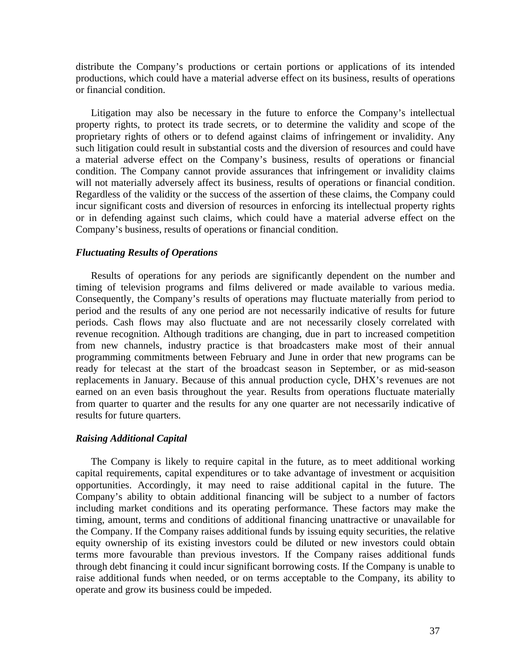distribute the Company's productions or certain portions or applications of its intended productions, which could have a material adverse effect on its business, results of operations or financial condition.

Litigation may also be necessary in the future to enforce the Company's intellectual property rights, to protect its trade secrets, or to determine the validity and scope of the proprietary rights of others or to defend against claims of infringement or invalidity. Any such litigation could result in substantial costs and the diversion of resources and could have a material adverse effect on the Company's business, results of operations or financial condition. The Company cannot provide assurances that infringement or invalidity claims will not materially adversely affect its business, results of operations or financial condition. Regardless of the validity or the success of the assertion of these claims, the Company could incur significant costs and diversion of resources in enforcing its intellectual property rights or in defending against such claims, which could have a material adverse effect on the Company's business, results of operations or financial condition.

## *Fluctuating Results of Operations*

Results of operations for any periods are significantly dependent on the number and timing of television programs and films delivered or made available to various media. Consequently, the Company's results of operations may fluctuate materially from period to period and the results of any one period are not necessarily indicative of results for future periods. Cash flows may also fluctuate and are not necessarily closely correlated with revenue recognition. Although traditions are changing, due in part to increased competition from new channels, industry practice is that broadcasters make most of their annual programming commitments between February and June in order that new programs can be ready for telecast at the start of the broadcast season in September, or as mid-season replacements in January. Because of this annual production cycle, DHX's revenues are not earned on an even basis throughout the year. Results from operations fluctuate materially from quarter to quarter and the results for any one quarter are not necessarily indicative of results for future quarters.

#### *Raising Additional Capital*

The Company is likely to require capital in the future, as to meet additional working capital requirements, capital expenditures or to take advantage of investment or acquisition opportunities. Accordingly, it may need to raise additional capital in the future. The Company's ability to obtain additional financing will be subject to a number of factors including market conditions and its operating performance. These factors may make the timing, amount, terms and conditions of additional financing unattractive or unavailable for the Company. If the Company raises additional funds by issuing equity securities, the relative equity ownership of its existing investors could be diluted or new investors could obtain terms more favourable than previous investors. If the Company raises additional funds through debt financing it could incur significant borrowing costs. If the Company is unable to raise additional funds when needed, or on terms acceptable to the Company, its ability to operate and grow its business could be impeded.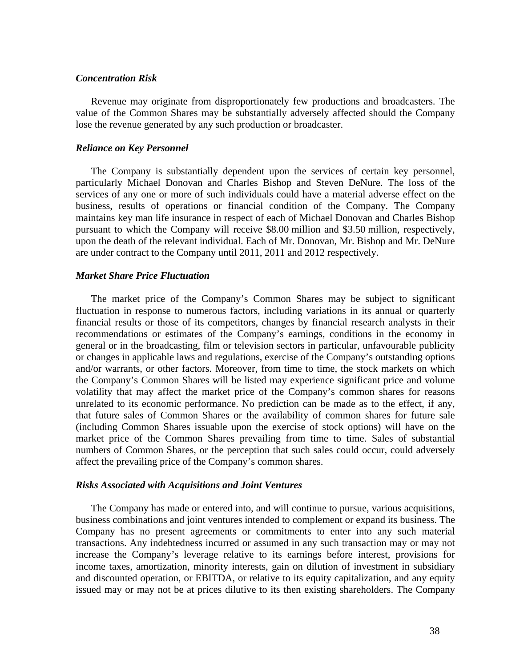## *Concentration Risk*

Revenue may originate from disproportionately few productions and broadcasters. The value of the Common Shares may be substantially adversely affected should the Company lose the revenue generated by any such production or broadcaster.

## *Reliance on Key Personnel*

The Company is substantially dependent upon the services of certain key personnel, particularly Michael Donovan and Charles Bishop and Steven DeNure. The loss of the services of any one or more of such individuals could have a material adverse effect on the business, results of operations or financial condition of the Company. The Company maintains key man life insurance in respect of each of Michael Donovan and Charles Bishop pursuant to which the Company will receive \$8.00 million and \$3.50 million, respectively, upon the death of the relevant individual. Each of Mr. Donovan, Mr. Bishop and Mr. DeNure are under contract to the Company until 2011, 2011 and 2012 respectively.

## *Market Share Price Fluctuation*

The market price of the Company's Common Shares may be subject to significant fluctuation in response to numerous factors, including variations in its annual or quarterly financial results or those of its competitors, changes by financial research analysts in their recommendations or estimates of the Company's earnings, conditions in the economy in general or in the broadcasting, film or television sectors in particular, unfavourable publicity or changes in applicable laws and regulations, exercise of the Company's outstanding options and/or warrants, or other factors. Moreover, from time to time, the stock markets on which the Company's Common Shares will be listed may experience significant price and volume volatility that may affect the market price of the Company's common shares for reasons unrelated to its economic performance. No prediction can be made as to the effect, if any, that future sales of Common Shares or the availability of common shares for future sale (including Common Shares issuable upon the exercise of stock options) will have on the market price of the Common Shares prevailing from time to time. Sales of substantial numbers of Common Shares, or the perception that such sales could occur, could adversely affect the prevailing price of the Company's common shares.

#### *Risks Associated with Acquisitions and Joint Ventures*

The Company has made or entered into, and will continue to pursue, various acquisitions, business combinations and joint ventures intended to complement or expand its business. The Company has no present agreements or commitments to enter into any such material transactions. Any indebtedness incurred or assumed in any such transaction may or may not increase the Company's leverage relative to its earnings before interest, provisions for income taxes, amortization, minority interests, gain on dilution of investment in subsidiary and discounted operation, or EBITDA, or relative to its equity capitalization, and any equity issued may or may not be at prices dilutive to its then existing shareholders. The Company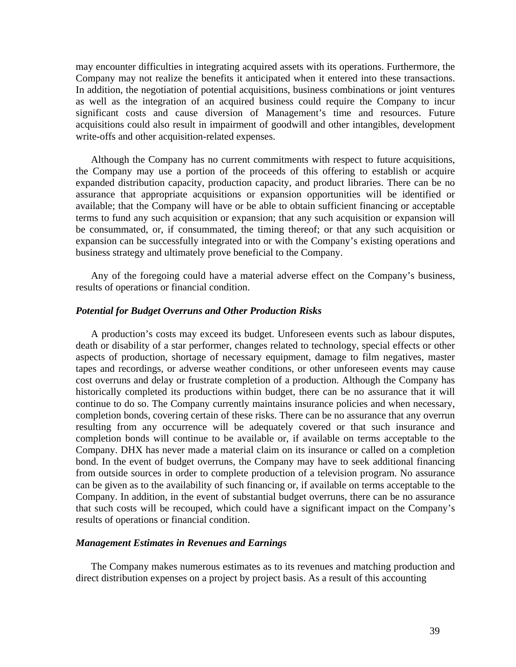may encounter difficulties in integrating acquired assets with its operations. Furthermore, the Company may not realize the benefits it anticipated when it entered into these transactions. In addition, the negotiation of potential acquisitions, business combinations or joint ventures as well as the integration of an acquired business could require the Company to incur significant costs and cause diversion of Management's time and resources. Future acquisitions could also result in impairment of goodwill and other intangibles, development write-offs and other acquisition-related expenses.

Although the Company has no current commitments with respect to future acquisitions, the Company may use a portion of the proceeds of this offering to establish or acquire expanded distribution capacity, production capacity, and product libraries. There can be no assurance that appropriate acquisitions or expansion opportunities will be identified or available; that the Company will have or be able to obtain sufficient financing or acceptable terms to fund any such acquisition or expansion; that any such acquisition or expansion will be consummated, or, if consummated, the timing thereof; or that any such acquisition or expansion can be successfully integrated into or with the Company's existing operations and business strategy and ultimately prove beneficial to the Company.

Any of the foregoing could have a material adverse effect on the Company's business, results of operations or financial condition.

## *Potential for Budget Overruns and Other Production Risks*

A production's costs may exceed its budget. Unforeseen events such as labour disputes, death or disability of a star performer, changes related to technology, special effects or other aspects of production, shortage of necessary equipment, damage to film negatives, master tapes and recordings, or adverse weather conditions, or other unforeseen events may cause cost overruns and delay or frustrate completion of a production. Although the Company has historically completed its productions within budget, there can be no assurance that it will continue to do so. The Company currently maintains insurance policies and when necessary, completion bonds, covering certain of these risks. There can be no assurance that any overrun resulting from any occurrence will be adequately covered or that such insurance and completion bonds will continue to be available or, if available on terms acceptable to the Company. DHX has never made a material claim on its insurance or called on a completion bond. In the event of budget overruns, the Company may have to seek additional financing from outside sources in order to complete production of a television program. No assurance can be given as to the availability of such financing or, if available on terms acceptable to the Company. In addition, in the event of substantial budget overruns, there can be no assurance that such costs will be recouped, which could have a significant impact on the Company's results of operations or financial condition.

## *Management Estimates in Revenues and Earnings*

The Company makes numerous estimates as to its revenues and matching production and direct distribution expenses on a project by project basis. As a result of this accounting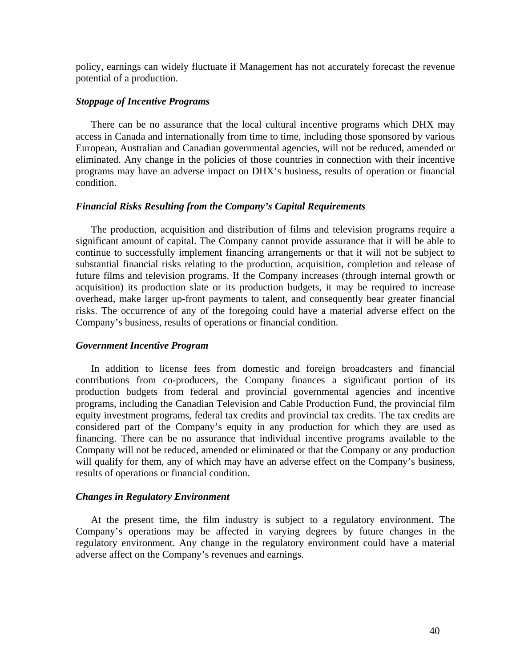policy, earnings can widely fluctuate if Management has not accurately forecast the revenue potential of a production.

## *Stoppage of Incentive Programs*

There can be no assurance that the local cultural incentive programs which DHX may access in Canada and internationally from time to time, including those sponsored by various European, Australian and Canadian governmental agencies, will not be reduced, amended or eliminated. Any change in the policies of those countries in connection with their incentive programs may have an adverse impact on DHX's business, results of operation or financial condition.

## *Financial Risks Resulting from the Company's Capital Requirements*

The production, acquisition and distribution of films and television programs require a significant amount of capital. The Company cannot provide assurance that it will be able to continue to successfully implement financing arrangements or that it will not be subject to substantial financial risks relating to the production, acquisition, completion and release of future films and television programs. If the Company increases (through internal growth or acquisition) its production slate or its production budgets, it may be required to increase overhead, make larger up-front payments to talent, and consequently bear greater financial risks. The occurrence of any of the foregoing could have a material adverse effect on the Company's business, results of operations or financial condition.

## *Government Incentive Program*

In addition to license fees from domestic and foreign broadcasters and financial contributions from co-producers, the Company finances a significant portion of its production budgets from federal and provincial governmental agencies and incentive programs, including the Canadian Television and Cable Production Fund, the provincial film equity investment programs, federal tax credits and provincial tax credits. The tax credits are considered part of the Company's equity in any production for which they are used as financing. There can be no assurance that individual incentive programs available to the Company will not be reduced, amended or eliminated or that the Company or any production will qualify for them, any of which may have an adverse effect on the Company's business, results of operations or financial condition.

## *Changes in Regulatory Environment*

At the present time, the film industry is subject to a regulatory environment. The Company's operations may be affected in varying degrees by future changes in the regulatory environment. Any change in the regulatory environment could have a material adverse affect on the Company's revenues and earnings.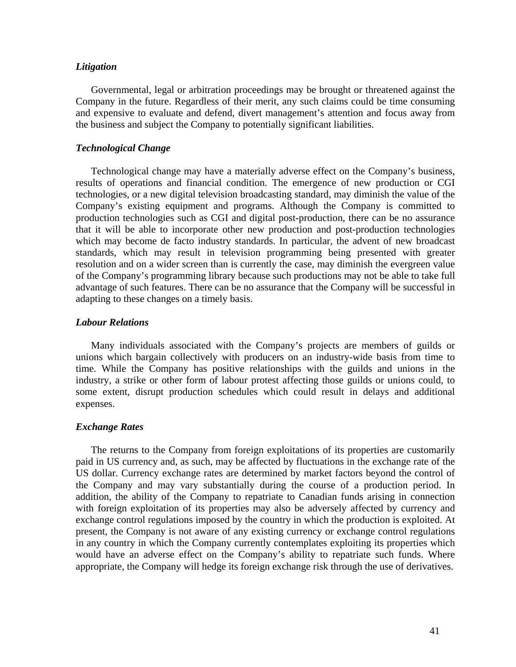## *Litigation*

Governmental, legal or arbitration proceedings may be brought or threatened against the Company in the future. Regardless of their merit, any such claims could be time consuming and expensive to evaluate and defend, divert management's attention and focus away from the business and subject the Company to potentially significant liabilities.

## *Technological Change*

Technological change may have a materially adverse effect on the Company's business, results of operations and financial condition. The emergence of new production or CGI technologies, or a new digital television broadcasting standard, may diminish the value of the Company's existing equipment and programs. Although the Company is committed to production technologies such as CGI and digital post-production, there can be no assurance that it will be able to incorporate other new production and post-production technologies which may become de facto industry standards. In particular, the advent of new broadcast standards, which may result in television programming being presented with greater resolution and on a wider screen than is currently the case, may diminish the evergreen value of the Company's programming library because such productions may not be able to take full advantage of such features. There can be no assurance that the Company will be successful in adapting to these changes on a timely basis.

#### *Labour Relations*

Many individuals associated with the Company's projects are members of guilds or unions which bargain collectively with producers on an industry-wide basis from time to time. While the Company has positive relationships with the guilds and unions in the industry, a strike or other form of labour protest affecting those guilds or unions could, to some extent, disrupt production schedules which could result in delays and additional expenses.

#### *Exchange Rates*

The returns to the Company from foreign exploitations of its properties are customarily paid in US currency and, as such, may be affected by fluctuations in the exchange rate of the US dollar. Currency exchange rates are determined by market factors beyond the control of the Company and may vary substantially during the course of a production period. In addition, the ability of the Company to repatriate to Canadian funds arising in connection with foreign exploitation of its properties may also be adversely affected by currency and exchange control regulations imposed by the country in which the production is exploited. At present, the Company is not aware of any existing currency or exchange control regulations in any country in which the Company currently contemplates exploiting its properties which would have an adverse effect on the Company's ability to repatriate such funds. Where appropriate, the Company will hedge its foreign exchange risk through the use of derivatives.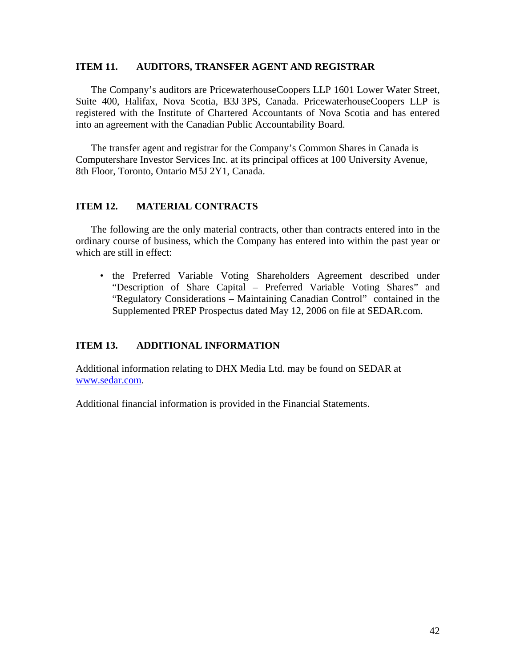## **ITEM 11. AUDITORS, TRANSFER AGENT AND REGISTRAR**

The Company's auditors are PricewaterhouseCoopers LLP 1601 Lower Water Street, Suite 400, Halifax, Nova Scotia, B3J 3PS, Canada. PricewaterhouseCoopers LLP is registered with the Institute of Chartered Accountants of Nova Scotia and has entered into an agreement with the Canadian Public Accountability Board.

The transfer agent and registrar for the Company's Common Shares in Canada is Computershare Investor Services Inc. at its principal offices at 100 University Avenue, 8th Floor, Toronto, Ontario M5J 2Y1, Canada.

## **ITEM 12. MATERIAL CONTRACTS**

The following are the only material contracts, other than contracts entered into in the ordinary course of business, which the Company has entered into within the past year or which are still in effect:

• the Preferred Variable Voting Shareholders Agreement described under "Description of Share Capital – Preferred Variable Voting Shares" and "Regulatory Considerations – Maintaining Canadian Control" contained in the Supplemented PREP Prospectus dated May 12, 2006 on file at SEDAR.com.

## **ITEM 13. ADDITIONAL INFORMATION**

Additional information relating to DHX Media Ltd. may be found on SEDAR at www.sedar.com.

Additional financial information is provided in the Financial Statements.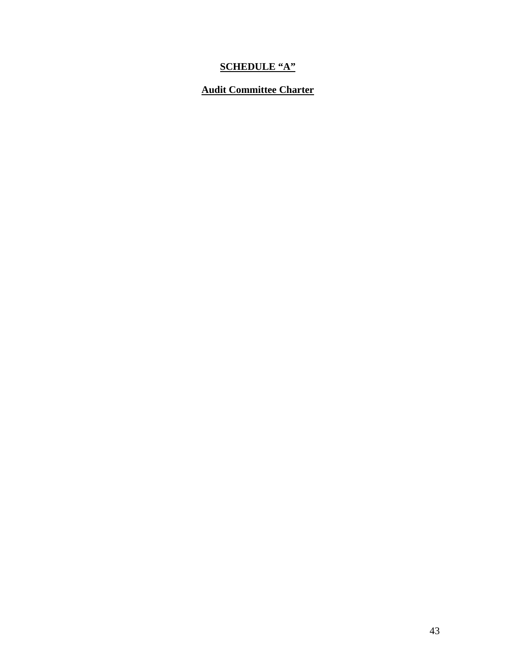# **SCHEDULE "A"**

## **Audit Committee Charter**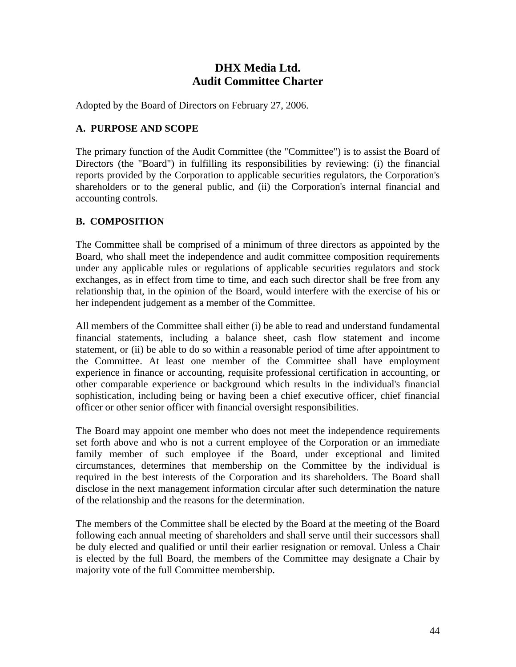## **DHX Media Ltd. Audit Committee Charter**

Adopted by the Board of Directors on February 27, 2006.

## **A. PURPOSE AND SCOPE**

The primary function of the Audit Committee (the "Committee") is to assist the Board of Directors (the "Board") in fulfilling its responsibilities by reviewing: (i) the financial reports provided by the Corporation to applicable securities regulators, the Corporation's shareholders or to the general public, and (ii) the Corporation's internal financial and accounting controls.

## **B. COMPOSITION**

The Committee shall be comprised of a minimum of three directors as appointed by the Board, who shall meet the independence and audit committee composition requirements under any applicable rules or regulations of applicable securities regulators and stock exchanges, as in effect from time to time, and each such director shall be free from any relationship that, in the opinion of the Board, would interfere with the exercise of his or her independent judgement as a member of the Committee.

All members of the Committee shall either (i) be able to read and understand fundamental financial statements, including a balance sheet, cash flow statement and income statement, or (ii) be able to do so within a reasonable period of time after appointment to the Committee. At least one member of the Committee shall have employment experience in finance or accounting, requisite professional certification in accounting, or other comparable experience or background which results in the individual's financial sophistication, including being or having been a chief executive officer, chief financial officer or other senior officer with financial oversight responsibilities.

The Board may appoint one member who does not meet the independence requirements set forth above and who is not a current employee of the Corporation or an immediate family member of such employee if the Board, under exceptional and limited circumstances, determines that membership on the Committee by the individual is required in the best interests of the Corporation and its shareholders. The Board shall disclose in the next management information circular after such determination the nature of the relationship and the reasons for the determination.

The members of the Committee shall be elected by the Board at the meeting of the Board following each annual meeting of shareholders and shall serve until their successors shall be duly elected and qualified or until their earlier resignation or removal. Unless a Chair is elected by the full Board, the members of the Committee may designate a Chair by majority vote of the full Committee membership.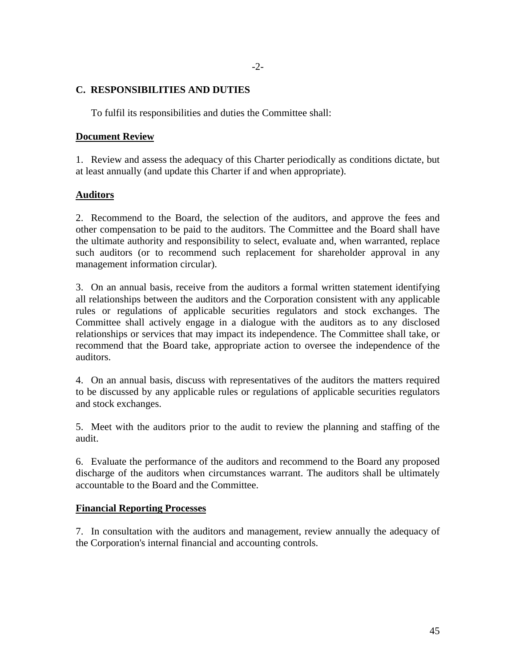## **C. RESPONSIBILITIES AND DUTIES**

To fulfil its responsibilities and duties the Committee shall:

## **Document Review**

1. Review and assess the adequacy of this Charter periodically as conditions dictate, but at least annually (and update this Charter if and when appropriate).

## **Auditors**

2. Recommend to the Board, the selection of the auditors, and approve the fees and other compensation to be paid to the auditors. The Committee and the Board shall have the ultimate authority and responsibility to select, evaluate and, when warranted, replace such auditors (or to recommend such replacement for shareholder approval in any management information circular).

3. On an annual basis, receive from the auditors a formal written statement identifying all relationships between the auditors and the Corporation consistent with any applicable rules or regulations of applicable securities regulators and stock exchanges. The Committee shall actively engage in a dialogue with the auditors as to any disclosed relationships or services that may impact its independence. The Committee shall take, or recommend that the Board take, appropriate action to oversee the independence of the auditors.

4. On an annual basis, discuss with representatives of the auditors the matters required to be discussed by any applicable rules or regulations of applicable securities regulators and stock exchanges.

5. Meet with the auditors prior to the audit to review the planning and staffing of the audit.

6. Evaluate the performance of the auditors and recommend to the Board any proposed discharge of the auditors when circumstances warrant. The auditors shall be ultimately accountable to the Board and the Committee.

## **Financial Reporting Processes**

7. In consultation with the auditors and management, review annually the adequacy of the Corporation's internal financial and accounting controls.